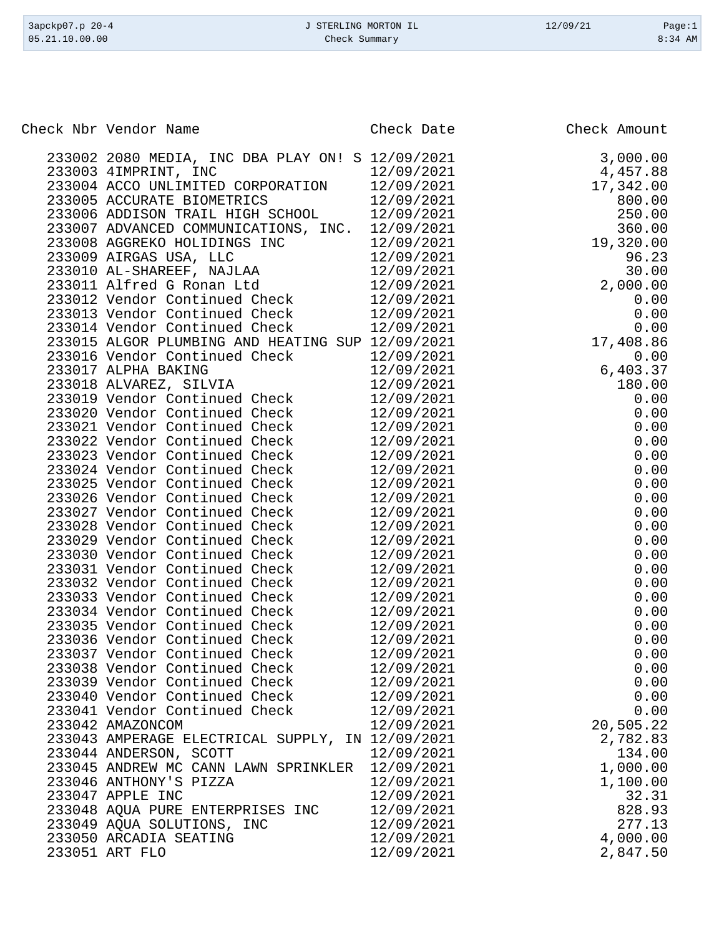| Check Nbr Vendor Name<br>Check Date<br>Check Amount<br>233002 2080 MEDIA, INC DBA PLAY ON! S 12/09/2021<br>3,000.00<br>233003 4IMPRINT, INC<br>12/09/2021<br>4,457.88<br>233004 ACCO UNLIMITED CORPORATION<br>12/09/2021<br>17,342.00<br>233005 ACCURATE BIOMETRICS<br>800.00<br>12/09/2021<br>233006 ADDISON TRAIL HIGH SCHOOL 12/09/2021<br>250.00<br>360.00<br>12/09/2021<br>233010 AL-SHAREEF, NAJLAA<br>233010 AL-SHAREEF, NAJLAA<br>233011 Alfred G Ronan Ita<br>19,320.00<br>96.23<br>30.00<br>2,000.00<br>233012 Vendor Continued Check 12/09/2021<br>0.00<br>233013 Vendor Continued Check 12/09/2021<br>0.00<br>233014 Vendor Continued Check<br>12/09/2021<br>0.00<br>233015 ALGOR PLUMBING AND HEATING SUP 12/09/2021<br>17,408.86<br>233016 Vendor Continued Check<br>233017 ALPHA BAKING<br>233018 ALVAREZ, SILVIA<br>12/09/2021<br>0.00<br>12/09/2021<br>6,403.37<br>12/09/2021<br>180.00<br>233019 Vendor Continued Check<br>12/09/2021<br>0.00<br>233020 Vendor Continued Check<br>12/09/2021<br>0.00<br>233021 Vendor Continued Check<br>12/09/2021<br>0.00<br>233022 Vendor Continued Check<br>12/09/2021<br>0.00<br>233023 Vendor Continued Check<br>12/09/2021<br>0.00<br>233024 Vendor Continued Check<br>12/09/2021<br>0.00<br>233025 Vendor Continued Check<br>0.00<br>12/09/2021<br>233026 Vendor Continued Check<br>12/09/2021<br>0.00<br>233027 Vendor Continued Check<br>12/09/2021<br>0.00<br>233028 Vendor Continued Check<br>12/09/2021<br>0.00<br>233029 Vendor Continued Check<br>0.00<br>12/09/2021<br>12/09/2021<br>233030 Vendor Continued Check<br>0.00<br>233031 Vendor Continued Check<br>12/09/2021<br>0.00<br>233032 Vendor Continued Check<br>12/09/2021<br>0.00<br>12/09/2021<br>233033 Vendor Continued Check<br>0.00<br>233034 Vendor Continued Check<br>0.00<br>12/09/2021<br>233035 Vendor Continued Check<br>0.00<br>12/09/2021<br>233036 Vendor Continued Check<br>0.00<br>12/09/2021<br>233037 Vendor Continued Check<br>0.00<br>12/09/2021<br>233038 Vendor Continued Check<br>0.00<br>12/09/2021<br>233039 Vendor Continued Check<br>0.00<br>12/09/2021<br>233040 Vendor Continued Check<br>0.00<br>12/09/2021<br>0.00<br>233041 Vendor Continued Check<br>12/09/2021<br>20,505.22<br>233042 AMAZONCOM<br>12/09/2021<br>233043 AMPERAGE ELECTRICAL SUPPLY, IN 12/09/2021<br>2,782.83<br>233044 ANDERSON, SCOTT<br>12/09/2021<br>134.00<br>233045 ANDREW MC CANN LAWN SPRINKLER 12/09/2021<br>1,000.00<br>233046 ANTHONY'S PIZZA<br>12/09/2021<br>1,100.00<br>233047 APPLE INC<br>12/09/2021<br>32.31<br>828.93<br>233048 AQUA PURE ENTERPRISES INC<br>12/09/2021<br>233049 AQUA SOLUTIONS, INC<br>12/09/2021<br>277.13<br>233050 ARCADIA SEATING<br>12/09/2021<br>4,000.00<br>233051 ART FLO<br>2,847.50<br>12/09/2021 |  |  |
|----------------------------------------------------------------------------------------------------------------------------------------------------------------------------------------------------------------------------------------------------------------------------------------------------------------------------------------------------------------------------------------------------------------------------------------------------------------------------------------------------------------------------------------------------------------------------------------------------------------------------------------------------------------------------------------------------------------------------------------------------------------------------------------------------------------------------------------------------------------------------------------------------------------------------------------------------------------------------------------------------------------------------------------------------------------------------------------------------------------------------------------------------------------------------------------------------------------------------------------------------------------------------------------------------------------------------------------------------------------------------------------------------------------------------------------------------------------------------------------------------------------------------------------------------------------------------------------------------------------------------------------------------------------------------------------------------------------------------------------------------------------------------------------------------------------------------------------------------------------------------------------------------------------------------------------------------------------------------------------------------------------------------------------------------------------------------------------------------------------------------------------------------------------------------------------------------------------------------------------------------------------------------------------------------------------------------------------------------------------------------------------------------------------------------------------------------------------------------------------------------------------------------------------------------------------------------------------------------------------------------------------------------------------------------------------------------------------------------------------------------------------------------|--|--|
|                                                                                                                                                                                                                                                                                                                                                                                                                                                                                                                                                                                                                                                                                                                                                                                                                                                                                                                                                                                                                                                                                                                                                                                                                                                                                                                                                                                                                                                                                                                                                                                                                                                                                                                                                                                                                                                                                                                                                                                                                                                                                                                                                                                                                                                                                                                                                                                                                                                                                                                                                                                                                                                                                                                                                                            |  |  |
|                                                                                                                                                                                                                                                                                                                                                                                                                                                                                                                                                                                                                                                                                                                                                                                                                                                                                                                                                                                                                                                                                                                                                                                                                                                                                                                                                                                                                                                                                                                                                                                                                                                                                                                                                                                                                                                                                                                                                                                                                                                                                                                                                                                                                                                                                                                                                                                                                                                                                                                                                                                                                                                                                                                                                                            |  |  |
|                                                                                                                                                                                                                                                                                                                                                                                                                                                                                                                                                                                                                                                                                                                                                                                                                                                                                                                                                                                                                                                                                                                                                                                                                                                                                                                                                                                                                                                                                                                                                                                                                                                                                                                                                                                                                                                                                                                                                                                                                                                                                                                                                                                                                                                                                                                                                                                                                                                                                                                                                                                                                                                                                                                                                                            |  |  |
|                                                                                                                                                                                                                                                                                                                                                                                                                                                                                                                                                                                                                                                                                                                                                                                                                                                                                                                                                                                                                                                                                                                                                                                                                                                                                                                                                                                                                                                                                                                                                                                                                                                                                                                                                                                                                                                                                                                                                                                                                                                                                                                                                                                                                                                                                                                                                                                                                                                                                                                                                                                                                                                                                                                                                                            |  |  |
|                                                                                                                                                                                                                                                                                                                                                                                                                                                                                                                                                                                                                                                                                                                                                                                                                                                                                                                                                                                                                                                                                                                                                                                                                                                                                                                                                                                                                                                                                                                                                                                                                                                                                                                                                                                                                                                                                                                                                                                                                                                                                                                                                                                                                                                                                                                                                                                                                                                                                                                                                                                                                                                                                                                                                                            |  |  |
|                                                                                                                                                                                                                                                                                                                                                                                                                                                                                                                                                                                                                                                                                                                                                                                                                                                                                                                                                                                                                                                                                                                                                                                                                                                                                                                                                                                                                                                                                                                                                                                                                                                                                                                                                                                                                                                                                                                                                                                                                                                                                                                                                                                                                                                                                                                                                                                                                                                                                                                                                                                                                                                                                                                                                                            |  |  |
|                                                                                                                                                                                                                                                                                                                                                                                                                                                                                                                                                                                                                                                                                                                                                                                                                                                                                                                                                                                                                                                                                                                                                                                                                                                                                                                                                                                                                                                                                                                                                                                                                                                                                                                                                                                                                                                                                                                                                                                                                                                                                                                                                                                                                                                                                                                                                                                                                                                                                                                                                                                                                                                                                                                                                                            |  |  |
|                                                                                                                                                                                                                                                                                                                                                                                                                                                                                                                                                                                                                                                                                                                                                                                                                                                                                                                                                                                                                                                                                                                                                                                                                                                                                                                                                                                                                                                                                                                                                                                                                                                                                                                                                                                                                                                                                                                                                                                                                                                                                                                                                                                                                                                                                                                                                                                                                                                                                                                                                                                                                                                                                                                                                                            |  |  |
|                                                                                                                                                                                                                                                                                                                                                                                                                                                                                                                                                                                                                                                                                                                                                                                                                                                                                                                                                                                                                                                                                                                                                                                                                                                                                                                                                                                                                                                                                                                                                                                                                                                                                                                                                                                                                                                                                                                                                                                                                                                                                                                                                                                                                                                                                                                                                                                                                                                                                                                                                                                                                                                                                                                                                                            |  |  |
|                                                                                                                                                                                                                                                                                                                                                                                                                                                                                                                                                                                                                                                                                                                                                                                                                                                                                                                                                                                                                                                                                                                                                                                                                                                                                                                                                                                                                                                                                                                                                                                                                                                                                                                                                                                                                                                                                                                                                                                                                                                                                                                                                                                                                                                                                                                                                                                                                                                                                                                                                                                                                                                                                                                                                                            |  |  |
|                                                                                                                                                                                                                                                                                                                                                                                                                                                                                                                                                                                                                                                                                                                                                                                                                                                                                                                                                                                                                                                                                                                                                                                                                                                                                                                                                                                                                                                                                                                                                                                                                                                                                                                                                                                                                                                                                                                                                                                                                                                                                                                                                                                                                                                                                                                                                                                                                                                                                                                                                                                                                                                                                                                                                                            |  |  |
|                                                                                                                                                                                                                                                                                                                                                                                                                                                                                                                                                                                                                                                                                                                                                                                                                                                                                                                                                                                                                                                                                                                                                                                                                                                                                                                                                                                                                                                                                                                                                                                                                                                                                                                                                                                                                                                                                                                                                                                                                                                                                                                                                                                                                                                                                                                                                                                                                                                                                                                                                                                                                                                                                                                                                                            |  |  |
|                                                                                                                                                                                                                                                                                                                                                                                                                                                                                                                                                                                                                                                                                                                                                                                                                                                                                                                                                                                                                                                                                                                                                                                                                                                                                                                                                                                                                                                                                                                                                                                                                                                                                                                                                                                                                                                                                                                                                                                                                                                                                                                                                                                                                                                                                                                                                                                                                                                                                                                                                                                                                                                                                                                                                                            |  |  |
|                                                                                                                                                                                                                                                                                                                                                                                                                                                                                                                                                                                                                                                                                                                                                                                                                                                                                                                                                                                                                                                                                                                                                                                                                                                                                                                                                                                                                                                                                                                                                                                                                                                                                                                                                                                                                                                                                                                                                                                                                                                                                                                                                                                                                                                                                                                                                                                                                                                                                                                                                                                                                                                                                                                                                                            |  |  |
|                                                                                                                                                                                                                                                                                                                                                                                                                                                                                                                                                                                                                                                                                                                                                                                                                                                                                                                                                                                                                                                                                                                                                                                                                                                                                                                                                                                                                                                                                                                                                                                                                                                                                                                                                                                                                                                                                                                                                                                                                                                                                                                                                                                                                                                                                                                                                                                                                                                                                                                                                                                                                                                                                                                                                                            |  |  |
|                                                                                                                                                                                                                                                                                                                                                                                                                                                                                                                                                                                                                                                                                                                                                                                                                                                                                                                                                                                                                                                                                                                                                                                                                                                                                                                                                                                                                                                                                                                                                                                                                                                                                                                                                                                                                                                                                                                                                                                                                                                                                                                                                                                                                                                                                                                                                                                                                                                                                                                                                                                                                                                                                                                                                                            |  |  |
|                                                                                                                                                                                                                                                                                                                                                                                                                                                                                                                                                                                                                                                                                                                                                                                                                                                                                                                                                                                                                                                                                                                                                                                                                                                                                                                                                                                                                                                                                                                                                                                                                                                                                                                                                                                                                                                                                                                                                                                                                                                                                                                                                                                                                                                                                                                                                                                                                                                                                                                                                                                                                                                                                                                                                                            |  |  |
|                                                                                                                                                                                                                                                                                                                                                                                                                                                                                                                                                                                                                                                                                                                                                                                                                                                                                                                                                                                                                                                                                                                                                                                                                                                                                                                                                                                                                                                                                                                                                                                                                                                                                                                                                                                                                                                                                                                                                                                                                                                                                                                                                                                                                                                                                                                                                                                                                                                                                                                                                                                                                                                                                                                                                                            |  |  |
|                                                                                                                                                                                                                                                                                                                                                                                                                                                                                                                                                                                                                                                                                                                                                                                                                                                                                                                                                                                                                                                                                                                                                                                                                                                                                                                                                                                                                                                                                                                                                                                                                                                                                                                                                                                                                                                                                                                                                                                                                                                                                                                                                                                                                                                                                                                                                                                                                                                                                                                                                                                                                                                                                                                                                                            |  |  |
|                                                                                                                                                                                                                                                                                                                                                                                                                                                                                                                                                                                                                                                                                                                                                                                                                                                                                                                                                                                                                                                                                                                                                                                                                                                                                                                                                                                                                                                                                                                                                                                                                                                                                                                                                                                                                                                                                                                                                                                                                                                                                                                                                                                                                                                                                                                                                                                                                                                                                                                                                                                                                                                                                                                                                                            |  |  |
|                                                                                                                                                                                                                                                                                                                                                                                                                                                                                                                                                                                                                                                                                                                                                                                                                                                                                                                                                                                                                                                                                                                                                                                                                                                                                                                                                                                                                                                                                                                                                                                                                                                                                                                                                                                                                                                                                                                                                                                                                                                                                                                                                                                                                                                                                                                                                                                                                                                                                                                                                                                                                                                                                                                                                                            |  |  |
|                                                                                                                                                                                                                                                                                                                                                                                                                                                                                                                                                                                                                                                                                                                                                                                                                                                                                                                                                                                                                                                                                                                                                                                                                                                                                                                                                                                                                                                                                                                                                                                                                                                                                                                                                                                                                                                                                                                                                                                                                                                                                                                                                                                                                                                                                                                                                                                                                                                                                                                                                                                                                                                                                                                                                                            |  |  |
|                                                                                                                                                                                                                                                                                                                                                                                                                                                                                                                                                                                                                                                                                                                                                                                                                                                                                                                                                                                                                                                                                                                                                                                                                                                                                                                                                                                                                                                                                                                                                                                                                                                                                                                                                                                                                                                                                                                                                                                                                                                                                                                                                                                                                                                                                                                                                                                                                                                                                                                                                                                                                                                                                                                                                                            |  |  |
|                                                                                                                                                                                                                                                                                                                                                                                                                                                                                                                                                                                                                                                                                                                                                                                                                                                                                                                                                                                                                                                                                                                                                                                                                                                                                                                                                                                                                                                                                                                                                                                                                                                                                                                                                                                                                                                                                                                                                                                                                                                                                                                                                                                                                                                                                                                                                                                                                                                                                                                                                                                                                                                                                                                                                                            |  |  |
|                                                                                                                                                                                                                                                                                                                                                                                                                                                                                                                                                                                                                                                                                                                                                                                                                                                                                                                                                                                                                                                                                                                                                                                                                                                                                                                                                                                                                                                                                                                                                                                                                                                                                                                                                                                                                                                                                                                                                                                                                                                                                                                                                                                                                                                                                                                                                                                                                                                                                                                                                                                                                                                                                                                                                                            |  |  |
|                                                                                                                                                                                                                                                                                                                                                                                                                                                                                                                                                                                                                                                                                                                                                                                                                                                                                                                                                                                                                                                                                                                                                                                                                                                                                                                                                                                                                                                                                                                                                                                                                                                                                                                                                                                                                                                                                                                                                                                                                                                                                                                                                                                                                                                                                                                                                                                                                                                                                                                                                                                                                                                                                                                                                                            |  |  |
|                                                                                                                                                                                                                                                                                                                                                                                                                                                                                                                                                                                                                                                                                                                                                                                                                                                                                                                                                                                                                                                                                                                                                                                                                                                                                                                                                                                                                                                                                                                                                                                                                                                                                                                                                                                                                                                                                                                                                                                                                                                                                                                                                                                                                                                                                                                                                                                                                                                                                                                                                                                                                                                                                                                                                                            |  |  |
|                                                                                                                                                                                                                                                                                                                                                                                                                                                                                                                                                                                                                                                                                                                                                                                                                                                                                                                                                                                                                                                                                                                                                                                                                                                                                                                                                                                                                                                                                                                                                                                                                                                                                                                                                                                                                                                                                                                                                                                                                                                                                                                                                                                                                                                                                                                                                                                                                                                                                                                                                                                                                                                                                                                                                                            |  |  |
|                                                                                                                                                                                                                                                                                                                                                                                                                                                                                                                                                                                                                                                                                                                                                                                                                                                                                                                                                                                                                                                                                                                                                                                                                                                                                                                                                                                                                                                                                                                                                                                                                                                                                                                                                                                                                                                                                                                                                                                                                                                                                                                                                                                                                                                                                                                                                                                                                                                                                                                                                                                                                                                                                                                                                                            |  |  |
|                                                                                                                                                                                                                                                                                                                                                                                                                                                                                                                                                                                                                                                                                                                                                                                                                                                                                                                                                                                                                                                                                                                                                                                                                                                                                                                                                                                                                                                                                                                                                                                                                                                                                                                                                                                                                                                                                                                                                                                                                                                                                                                                                                                                                                                                                                                                                                                                                                                                                                                                                                                                                                                                                                                                                                            |  |  |
|                                                                                                                                                                                                                                                                                                                                                                                                                                                                                                                                                                                                                                                                                                                                                                                                                                                                                                                                                                                                                                                                                                                                                                                                                                                                                                                                                                                                                                                                                                                                                                                                                                                                                                                                                                                                                                                                                                                                                                                                                                                                                                                                                                                                                                                                                                                                                                                                                                                                                                                                                                                                                                                                                                                                                                            |  |  |
|                                                                                                                                                                                                                                                                                                                                                                                                                                                                                                                                                                                                                                                                                                                                                                                                                                                                                                                                                                                                                                                                                                                                                                                                                                                                                                                                                                                                                                                                                                                                                                                                                                                                                                                                                                                                                                                                                                                                                                                                                                                                                                                                                                                                                                                                                                                                                                                                                                                                                                                                                                                                                                                                                                                                                                            |  |  |
|                                                                                                                                                                                                                                                                                                                                                                                                                                                                                                                                                                                                                                                                                                                                                                                                                                                                                                                                                                                                                                                                                                                                                                                                                                                                                                                                                                                                                                                                                                                                                                                                                                                                                                                                                                                                                                                                                                                                                                                                                                                                                                                                                                                                                                                                                                                                                                                                                                                                                                                                                                                                                                                                                                                                                                            |  |  |
|                                                                                                                                                                                                                                                                                                                                                                                                                                                                                                                                                                                                                                                                                                                                                                                                                                                                                                                                                                                                                                                                                                                                                                                                                                                                                                                                                                                                                                                                                                                                                                                                                                                                                                                                                                                                                                                                                                                                                                                                                                                                                                                                                                                                                                                                                                                                                                                                                                                                                                                                                                                                                                                                                                                                                                            |  |  |
|                                                                                                                                                                                                                                                                                                                                                                                                                                                                                                                                                                                                                                                                                                                                                                                                                                                                                                                                                                                                                                                                                                                                                                                                                                                                                                                                                                                                                                                                                                                                                                                                                                                                                                                                                                                                                                                                                                                                                                                                                                                                                                                                                                                                                                                                                                                                                                                                                                                                                                                                                                                                                                                                                                                                                                            |  |  |
|                                                                                                                                                                                                                                                                                                                                                                                                                                                                                                                                                                                                                                                                                                                                                                                                                                                                                                                                                                                                                                                                                                                                                                                                                                                                                                                                                                                                                                                                                                                                                                                                                                                                                                                                                                                                                                                                                                                                                                                                                                                                                                                                                                                                                                                                                                                                                                                                                                                                                                                                                                                                                                                                                                                                                                            |  |  |
|                                                                                                                                                                                                                                                                                                                                                                                                                                                                                                                                                                                                                                                                                                                                                                                                                                                                                                                                                                                                                                                                                                                                                                                                                                                                                                                                                                                                                                                                                                                                                                                                                                                                                                                                                                                                                                                                                                                                                                                                                                                                                                                                                                                                                                                                                                                                                                                                                                                                                                                                                                                                                                                                                                                                                                            |  |  |
|                                                                                                                                                                                                                                                                                                                                                                                                                                                                                                                                                                                                                                                                                                                                                                                                                                                                                                                                                                                                                                                                                                                                                                                                                                                                                                                                                                                                                                                                                                                                                                                                                                                                                                                                                                                                                                                                                                                                                                                                                                                                                                                                                                                                                                                                                                                                                                                                                                                                                                                                                                                                                                                                                                                                                                            |  |  |
|                                                                                                                                                                                                                                                                                                                                                                                                                                                                                                                                                                                                                                                                                                                                                                                                                                                                                                                                                                                                                                                                                                                                                                                                                                                                                                                                                                                                                                                                                                                                                                                                                                                                                                                                                                                                                                                                                                                                                                                                                                                                                                                                                                                                                                                                                                                                                                                                                                                                                                                                                                                                                                                                                                                                                                            |  |  |
|                                                                                                                                                                                                                                                                                                                                                                                                                                                                                                                                                                                                                                                                                                                                                                                                                                                                                                                                                                                                                                                                                                                                                                                                                                                                                                                                                                                                                                                                                                                                                                                                                                                                                                                                                                                                                                                                                                                                                                                                                                                                                                                                                                                                                                                                                                                                                                                                                                                                                                                                                                                                                                                                                                                                                                            |  |  |
|                                                                                                                                                                                                                                                                                                                                                                                                                                                                                                                                                                                                                                                                                                                                                                                                                                                                                                                                                                                                                                                                                                                                                                                                                                                                                                                                                                                                                                                                                                                                                                                                                                                                                                                                                                                                                                                                                                                                                                                                                                                                                                                                                                                                                                                                                                                                                                                                                                                                                                                                                                                                                                                                                                                                                                            |  |  |
|                                                                                                                                                                                                                                                                                                                                                                                                                                                                                                                                                                                                                                                                                                                                                                                                                                                                                                                                                                                                                                                                                                                                                                                                                                                                                                                                                                                                                                                                                                                                                                                                                                                                                                                                                                                                                                                                                                                                                                                                                                                                                                                                                                                                                                                                                                                                                                                                                                                                                                                                                                                                                                                                                                                                                                            |  |  |
|                                                                                                                                                                                                                                                                                                                                                                                                                                                                                                                                                                                                                                                                                                                                                                                                                                                                                                                                                                                                                                                                                                                                                                                                                                                                                                                                                                                                                                                                                                                                                                                                                                                                                                                                                                                                                                                                                                                                                                                                                                                                                                                                                                                                                                                                                                                                                                                                                                                                                                                                                                                                                                                                                                                                                                            |  |  |
|                                                                                                                                                                                                                                                                                                                                                                                                                                                                                                                                                                                                                                                                                                                                                                                                                                                                                                                                                                                                                                                                                                                                                                                                                                                                                                                                                                                                                                                                                                                                                                                                                                                                                                                                                                                                                                                                                                                                                                                                                                                                                                                                                                                                                                                                                                                                                                                                                                                                                                                                                                                                                                                                                                                                                                            |  |  |
|                                                                                                                                                                                                                                                                                                                                                                                                                                                                                                                                                                                                                                                                                                                                                                                                                                                                                                                                                                                                                                                                                                                                                                                                                                                                                                                                                                                                                                                                                                                                                                                                                                                                                                                                                                                                                                                                                                                                                                                                                                                                                                                                                                                                                                                                                                                                                                                                                                                                                                                                                                                                                                                                                                                                                                            |  |  |
|                                                                                                                                                                                                                                                                                                                                                                                                                                                                                                                                                                                                                                                                                                                                                                                                                                                                                                                                                                                                                                                                                                                                                                                                                                                                                                                                                                                                                                                                                                                                                                                                                                                                                                                                                                                                                                                                                                                                                                                                                                                                                                                                                                                                                                                                                                                                                                                                                                                                                                                                                                                                                                                                                                                                                                            |  |  |
|                                                                                                                                                                                                                                                                                                                                                                                                                                                                                                                                                                                                                                                                                                                                                                                                                                                                                                                                                                                                                                                                                                                                                                                                                                                                                                                                                                                                                                                                                                                                                                                                                                                                                                                                                                                                                                                                                                                                                                                                                                                                                                                                                                                                                                                                                                                                                                                                                                                                                                                                                                                                                                                                                                                                                                            |  |  |
|                                                                                                                                                                                                                                                                                                                                                                                                                                                                                                                                                                                                                                                                                                                                                                                                                                                                                                                                                                                                                                                                                                                                                                                                                                                                                                                                                                                                                                                                                                                                                                                                                                                                                                                                                                                                                                                                                                                                                                                                                                                                                                                                                                                                                                                                                                                                                                                                                                                                                                                                                                                                                                                                                                                                                                            |  |  |
|                                                                                                                                                                                                                                                                                                                                                                                                                                                                                                                                                                                                                                                                                                                                                                                                                                                                                                                                                                                                                                                                                                                                                                                                                                                                                                                                                                                                                                                                                                                                                                                                                                                                                                                                                                                                                                                                                                                                                                                                                                                                                                                                                                                                                                                                                                                                                                                                                                                                                                                                                                                                                                                                                                                                                                            |  |  |
|                                                                                                                                                                                                                                                                                                                                                                                                                                                                                                                                                                                                                                                                                                                                                                                                                                                                                                                                                                                                                                                                                                                                                                                                                                                                                                                                                                                                                                                                                                                                                                                                                                                                                                                                                                                                                                                                                                                                                                                                                                                                                                                                                                                                                                                                                                                                                                                                                                                                                                                                                                                                                                                                                                                                                                            |  |  |
|                                                                                                                                                                                                                                                                                                                                                                                                                                                                                                                                                                                                                                                                                                                                                                                                                                                                                                                                                                                                                                                                                                                                                                                                                                                                                                                                                                                                                                                                                                                                                                                                                                                                                                                                                                                                                                                                                                                                                                                                                                                                                                                                                                                                                                                                                                                                                                                                                                                                                                                                                                                                                                                                                                                                                                            |  |  |
|                                                                                                                                                                                                                                                                                                                                                                                                                                                                                                                                                                                                                                                                                                                                                                                                                                                                                                                                                                                                                                                                                                                                                                                                                                                                                                                                                                                                                                                                                                                                                                                                                                                                                                                                                                                                                                                                                                                                                                                                                                                                                                                                                                                                                                                                                                                                                                                                                                                                                                                                                                                                                                                                                                                                                                            |  |  |
|                                                                                                                                                                                                                                                                                                                                                                                                                                                                                                                                                                                                                                                                                                                                                                                                                                                                                                                                                                                                                                                                                                                                                                                                                                                                                                                                                                                                                                                                                                                                                                                                                                                                                                                                                                                                                                                                                                                                                                                                                                                                                                                                                                                                                                                                                                                                                                                                                                                                                                                                                                                                                                                                                                                                                                            |  |  |

3apckp07.p 20-4 <br>
3apckp07.p 20-4 <br>
334 AM <br>
334 AM <br>
334 AM <br>
334 AM <br>
334 AM <br>
334 AM <br>
334 AM <br>
334 AM <br>
334 AM <br>
334 AM <br>
334 AM <br>
334 AM <br>
334 AM <br>
334 AM <br>
334 AM <br>
334 AM <br>
334 AM <br>
334 AM <br>
334 AM <br>
334 AM <br>
334 AM Check Summary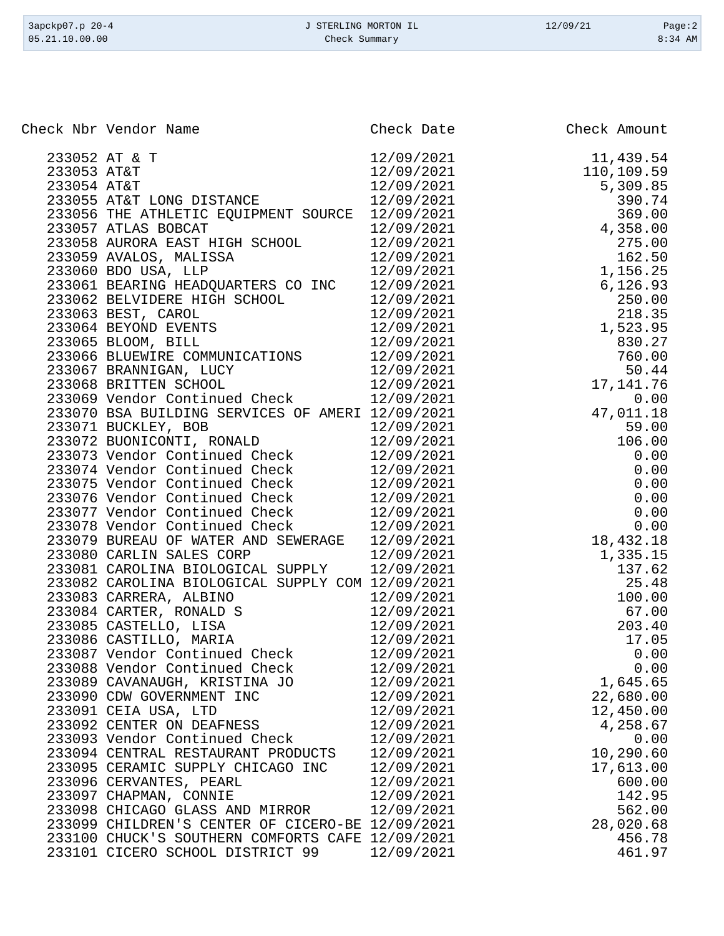|                                 | Page:2    |
|---------------------------------|-----------|
| 05.21.10.00.00<br>Check Summary | $8:34$ AM |

Check Nbr Vendor Name **Check Date** Check Date Check Amount

|             | 233052 AT & T                                                                                                                                                                                                                               | 12/09/2021 | 11,439.54                                                                                                                                                                                                                                                                    |
|-------------|---------------------------------------------------------------------------------------------------------------------------------------------------------------------------------------------------------------------------------------------|------------|------------------------------------------------------------------------------------------------------------------------------------------------------------------------------------------------------------------------------------------------------------------------------|
| 233053 AT&T |                                                                                                                                                                                                                                             | 12/09/2021 | 110,109.59                                                                                                                                                                                                                                                                   |
| 233054 AT&T |                                                                                                                                                                                                                                             | 12/09/2021 | 5,309.85                                                                                                                                                                                                                                                                     |
|             | 233055 AT&T LONG DISTANCE                                                                                                                                                                                                                   | 12/09/2021 | 390.74                                                                                                                                                                                                                                                                       |
|             | 233056 THE ATHLETIC EQUIPMENT SOURCE 12/09/2021                                                                                                                                                                                             |            | 369.00                                                                                                                                                                                                                                                                       |
|             | 233057 ATLAS BOBCAT                                                                                                                                                                                                                         | 12/09/2021 | 4,358.00                                                                                                                                                                                                                                                                     |
|             | 233058 AURORA EAST HIGH SCHOOL                                                                                                                                                                                                              | 12/09/2021 | 275.00                                                                                                                                                                                                                                                                       |
|             |                                                                                                                                                                                                                                             | 12/09/2021 | 162.50                                                                                                                                                                                                                                                                       |
|             | 233059 AVALOS, MALISSA<br>233060 BDO USA, LLP<br>233060 BDO USA, LLP                                                                                                                                                                        | 12/09/2021 | 1,156.25                                                                                                                                                                                                                                                                     |
|             | 233061 BEARING HEADQUARTERS CO INC 12/09/2021                                                                                                                                                                                               |            | 6, 126.93                                                                                                                                                                                                                                                                    |
|             | 233062 BELVIDERE HIGH SCHOOL                                                                                                                                                                                                                | 12/09/2021 |                                                                                                                                                                                                                                                                              |
|             |                                                                                                                                                                                                                                             | 12/09/2021 |                                                                                                                                                                                                                                                                              |
|             | 233063 BEST, CAROL<br>233064 BEYOND EVENTS<br>233065 BLOOM, BILL<br>222066 BI-VILLE                                                                                                                                                         | 12/09/2021 |                                                                                                                                                                                                                                                                              |
|             |                                                                                                                                                                                                                                             | 12/09/2021 |                                                                                                                                                                                                                                                                              |
|             |                                                                                                                                                                                                                                             |            |                                                                                                                                                                                                                                                                              |
|             |                                                                                                                                                                                                                                             |            |                                                                                                                                                                                                                                                                              |
|             |                                                                                                                                                                                                                                             |            |                                                                                                                                                                                                                                                                              |
|             | 233066 BLUEWIRE COMMUNICATIONS<br>233067 BRANNIGAN, LUCY 12/09/2021<br>233068 BRITTEN SCHOOL 12/09/2021<br>233069 Vendor Continued Check 12/09/2021<br>233069 Vendor Continued Check 12/09/2021                                             |            |                                                                                                                                                                                                                                                                              |
|             | 233070 BSA BUILDING SERVICES OF AMERI 12/09/2021                                                                                                                                                                                            |            |                                                                                                                                                                                                                                                                              |
|             |                                                                                                                                                                                                                                             | 12/09/2021 |                                                                                                                                                                                                                                                                              |
|             | 233071 BUCKLEY, BOB<br>233072 BUONICONTI, RONALD                                                                                                                                                                                            | 12/09/2021 |                                                                                                                                                                                                                                                                              |
|             | 233073 Vendor Continued Check                                                                                                                                                                                                               | 12/09/2021 |                                                                                                                                                                                                                                                                              |
|             | 233074 Vendor Continued Check<br>233075 Vendor Continued Check<br>233075 Vendor Continued Check<br>233076 Vendor Continued Check<br>233077 Vendor Continued Check<br>233078 Vendor Continued Check<br>22/09/2021<br>233078 Vendor Continued |            | $1,156.25$<br>$6,126.93$<br>$250.00$<br>$218.35$<br>$1,523.95$<br>$830.27$<br>$760.00$<br>$50.44$<br>$17,141.76$<br>$0.00$<br>$47,011.18$<br>$59.00$<br>$106.00$<br>$0.00$<br>$0.00$<br>$0.00$<br>$0.00$<br>$0.00$<br>$0.00$<br>$0.00$<br>$0.00$<br>$0.00$<br>$0.00$<br>$0.$ |
|             |                                                                                                                                                                                                                                             |            |                                                                                                                                                                                                                                                                              |
|             |                                                                                                                                                                                                                                             |            |                                                                                                                                                                                                                                                                              |
|             |                                                                                                                                                                                                                                             |            |                                                                                                                                                                                                                                                                              |
|             |                                                                                                                                                                                                                                             |            |                                                                                                                                                                                                                                                                              |
|             |                                                                                                                                                                                                                                             |            |                                                                                                                                                                                                                                                                              |
|             | 233079 BUREAU OF WATER AND SEWERAGE 12/09/2021<br>233080 CARLIN SALES CORP 12/09/2021<br>233080 CARLIN SALES CORP                                                                                                                           |            |                                                                                                                                                                                                                                                                              |
|             |                                                                                                                                                                                                                                             | 12/09/2021 |                                                                                                                                                                                                                                                                              |
|             | 233081 CAROLINA BIOLOGICAL SUPPLY                                                                                                                                                                                                           | 12/09/2021 |                                                                                                                                                                                                                                                                              |
|             | 233082 CAROLINA BIOLOGICAL SUPPLY COM 12/09/2021                                                                                                                                                                                            |            |                                                                                                                                                                                                                                                                              |
|             | 233084 CARTER, RONALD S<br>233085 CASTELLO, LISA<br>233085 CASTELLO, LISA<br>233086 CASTILLO, MARIA<br>233087 Vender Carti                                                                                                                  | 12/09/2021 |                                                                                                                                                                                                                                                                              |
|             |                                                                                                                                                                                                                                             | 12/09/2021 |                                                                                                                                                                                                                                                                              |
|             |                                                                                                                                                                                                                                             |            |                                                                                                                                                                                                                                                                              |
|             |                                                                                                                                                                                                                                             |            |                                                                                                                                                                                                                                                                              |
|             | 12/09/2021<br>233086 CASTILLO, MARIA<br>233087 Vendor Continued Check<br>233088 Vendor Continued Check<br>233088 Vendor Continued Check<br>233089 CAVANATION                                                                                |            |                                                                                                                                                                                                                                                                              |
|             |                                                                                                                                                                                                                                             |            | 0.00                                                                                                                                                                                                                                                                         |
|             | 233089 CAVANAUGH, KRISTINA JO                                                                                                                                                                                                               | 12/09/2021 | 1,645.65                                                                                                                                                                                                                                                                     |
|             | 233090 CDW GOVERNMENT INC                                                                                                                                                                                                                   | 12/09/2021 | 22,680.00                                                                                                                                                                                                                                                                    |
|             | 233091 CEIA USA, LTD                                                                                                                                                                                                                        | 12/09/2021 | 12,450.00                                                                                                                                                                                                                                                                    |
|             | 233092 CENTER ON DEAFNESS                                                                                                                                                                                                                   | 12/09/2021 | 4,258.67                                                                                                                                                                                                                                                                     |
|             | 233093 Vendor Continued Check                                                                                                                                                                                                               | 12/09/2021 | 0.00                                                                                                                                                                                                                                                                         |
|             | 233094 CENTRAL RESTAURANT PRODUCTS                                                                                                                                                                                                          | 12/09/2021 | 10,290.60                                                                                                                                                                                                                                                                    |
|             | 233095 CERAMIC SUPPLY CHICAGO INC                                                                                                                                                                                                           | 12/09/2021 | 17,613.00                                                                                                                                                                                                                                                                    |
|             | 233096 CERVANTES, PEARL                                                                                                                                                                                                                     | 12/09/2021 | 600.00                                                                                                                                                                                                                                                                       |
|             | 233097 CHAPMAN, CONNIE                                                                                                                                                                                                                      | 12/09/2021 | 142.95                                                                                                                                                                                                                                                                       |
|             | 233098 CHICAGO GLASS AND MIRROR                                                                                                                                                                                                             | 12/09/2021 | 562.00                                                                                                                                                                                                                                                                       |
|             | 233099 CHILDREN'S CENTER OF CICERO-BE 12/09/2021                                                                                                                                                                                            |            | 28,020.68                                                                                                                                                                                                                                                                    |
|             | 233100 CHUCK'S SOUTHERN COMFORTS CAFE 12/09/2021                                                                                                                                                                                            |            | 456.78                                                                                                                                                                                                                                                                       |
|             | 233101 CICERO SCHOOL DISTRICT 99                                                                                                                                                                                                            | 12/09/2021 | 461.97                                                                                                                                                                                                                                                                       |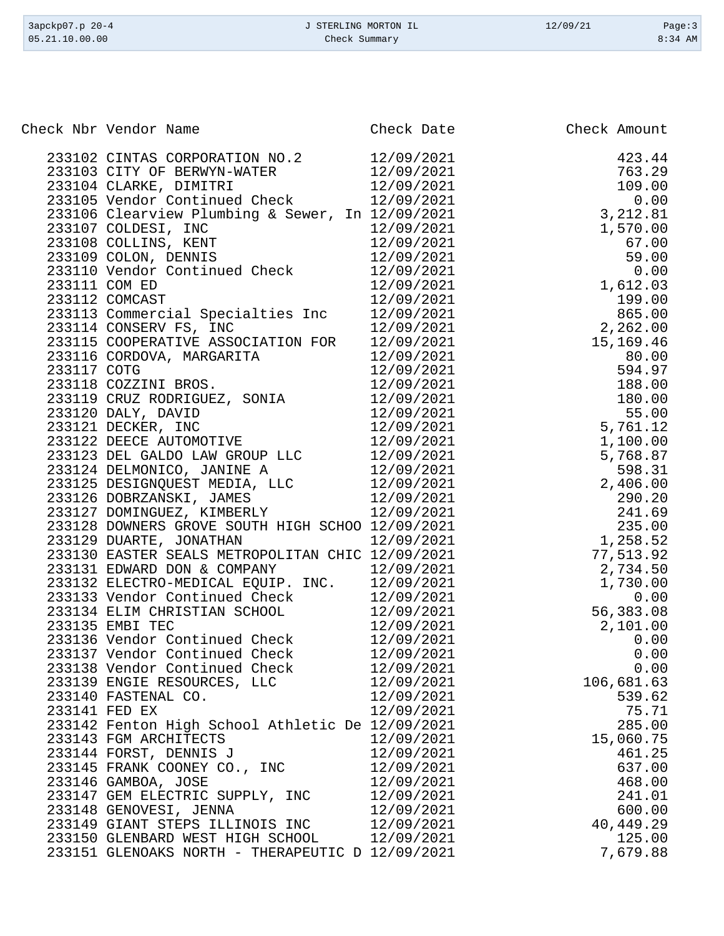| 3apckp07.p 20-4<br>05.21.10.00.00 |                                                                                | J STERLING MORTON IL<br>Check Summary | 12/09/21           | Page:3<br>$8:34$ AM |
|-----------------------------------|--------------------------------------------------------------------------------|---------------------------------------|--------------------|---------------------|
|                                   |                                                                                |                                       |                    |                     |
|                                   |                                                                                |                                       |                    |                     |
|                                   | Check Nbr Vendor Name                                                          | Check Date                            | Check Amount       |                     |
|                                   | 233102 CINTAS CORPORATION NO.2                                                 | 12/09/2021                            | 423.44             |                     |
|                                   | 233103 CITY OF BERWYN-WATER                                                    | 12/09/2021                            | 763.29             |                     |
|                                   | 233104 CLARKE, DIMITRI                                                         | 12/09/2021                            | 109.00             |                     |
|                                   | 233105 Vendor Continued Check 12/09/2021                                       |                                       | 0.00<br>3,212.81   | 0.00                |
|                                   | 233106 Clearview Plumbing & Sewer, In 12/09/2021                               |                                       |                    |                     |
|                                   | 233107 COLDESI, INC                                                            | 12/09/2021                            | 1,570.00           |                     |
|                                   | 233108 COLLINS, KENT                                                           | 12/09/2021                            | 67.00              |                     |
|                                   | 233109 COLON, DENNIS                                                           | 12/09/2021                            | 59.00              |                     |
|                                   | 233110 Vendor Continued Check<br>233111 COM ED                                 | 12/09/2021                            |                    | 0.00                |
|                                   | 233112 COMCAST                                                                 | 12/09/2021<br>12/09/2021              | 1,612.03<br>199.00 |                     |
|                                   | 233113 Commercial Specialties Inc 12/09/2021                                   |                                       | 865.00             |                     |
|                                   | 233114 CONSERV FS, INC                                                         | 12/09/2021                            | 2,262.00           |                     |
|                                   | 233115 COOPERATIVE ASSOCIATION FOR 12/09/2021                                  |                                       | 15,169.46          |                     |
|                                   | 233116 CORDOVA, MARGARITA                                                      | 12/09/2021                            | 80.00              |                     |
| 233117 COTG                       |                                                                                | 12/09/2021                            | 594.97             |                     |
|                                   | 233118 COZZINI BROS.                                                           | 12/09/2021                            | 188.00             |                     |
|                                   | 233119 CRUZ RODRIGUEZ, SONIA                                                   | 12/09/2021                            | 180.00             |                     |
|                                   | 233120 DALY, DAVID                                                             | 12/09/2021                            | 55.00              |                     |
|                                   | 233121 DECKER, INC                                                             | 12/09/2021                            | 5,761.12           |                     |
|                                   | 233122 DEECE AUTOMOTIVE                                                        | 12/09/2021                            | 1,100.00           |                     |
|                                   | 233123 DEL GALDO LAW GROUP LLC                                                 | 12/09/2021                            | 5,768.87           |                     |
|                                   | 233124 DELMONICO, JANINE A                                                     | 12/09/2021                            | 598.31             |                     |
|                                   | 233125 DESIGNQUEST MEDIA, LLC                                                  | 12/09/2021                            | 2,406.00           |                     |
|                                   | 233126 DOBRZANSKI, JAMES                                                       | 12/09/2021                            | 290.20             |                     |
|                                   | 233127 DOMINGUEZ, KIMBERLY                                                     | 12/09/2021                            | 241.69             |                     |
|                                   | 233128 DOWNERS GROVE SOUTH HIGH SCHOO 12/09/2021                               |                                       | 235.00             |                     |
|                                   | 233129 DUARTE, JONATHAN                                                        | 12/09/2021                            | 1,258.52           |                     |
|                                   | 233130 EASTER SEALS METROPOLITAN CHIC 12/09/2021                               |                                       | 77,513.92          |                     |
|                                   | 233131 EDWARD DON & COMPANY                                                    | 12/09/2021                            | 2,734.50           |                     |
|                                   | 233132 ELECTRO-MEDICAL EQUIP. INC. 12/09/2021<br>233133 Vendor Continued Check | 12/09/2021                            | 1,730.00           | 0.00                |
|                                   | 233134 ELIM CHRISTIAN SCHOOL                                                   | 12/09/2021                            | 56,383.08          |                     |
|                                   | 233135 EMBI TEC                                                                | 12/09/2021                            | 2,101.00           |                     |
|                                   | 233136 Vendor Continued Check                                                  | 12/09/2021                            |                    | 0.00                |
|                                   | 233137 Vendor Continued Check                                                  | 12/09/2021                            |                    | 0.00                |
|                                   | 233138 Vendor Continued Check                                                  | 12/09/2021                            |                    | 0.00                |
|                                   | 233139 ENGIE RESOURCES, LLC                                                    | 12/09/2021                            | 106,681.63         |                     |
|                                   | 233140 FASTENAL CO.                                                            | 12/09/2021                            | 539.62             |                     |
|                                   | 233141 FED EX                                                                  | 12/09/2021                            | 75.71              |                     |
|                                   | 233142 Fenton High School Athletic De 12/09/2021                               |                                       | 285.00             |                     |
|                                   | 233143 FGM ARCHITECTS                                                          | 12/09/2021                            | 15,060.75          |                     |
|                                   | 233144 FORST, DENNIS J                                                         | 12/09/2021                            | 461.25             |                     |
|                                   | 233145 FRANK COONEY CO., INC                                                   | 12/09/2021                            | 637.00             |                     |
|                                   | 233146 GAMBOA, JOSE                                                            | 12/09/2021                            | 468.00             |                     |

233147 GEM ELECTRIC SUPPLY, INC  $12/09/2021$  241.01<br>233148 GENOVESI, JENNA 12/09/2021 600.00 233148 GENOVESI, JENNA  $12/09/2021$  600.00<br>233149 GIANT STEPS ILLINOIS INC 12/09/2021 40,449.29 233149 GIANT STEPS ILLINOIS INC 12/09/2021 40,449.29 233150 GLENBARD WEST HIGH SCHOOL 12/09/2021 125.00<br>233151 GLENOAKS NORTH - THERAPEUTIC D 12/09/2021 7,679.88 233151 GLENOAKS NORTH - THERAPEUTIC D 12/09/2021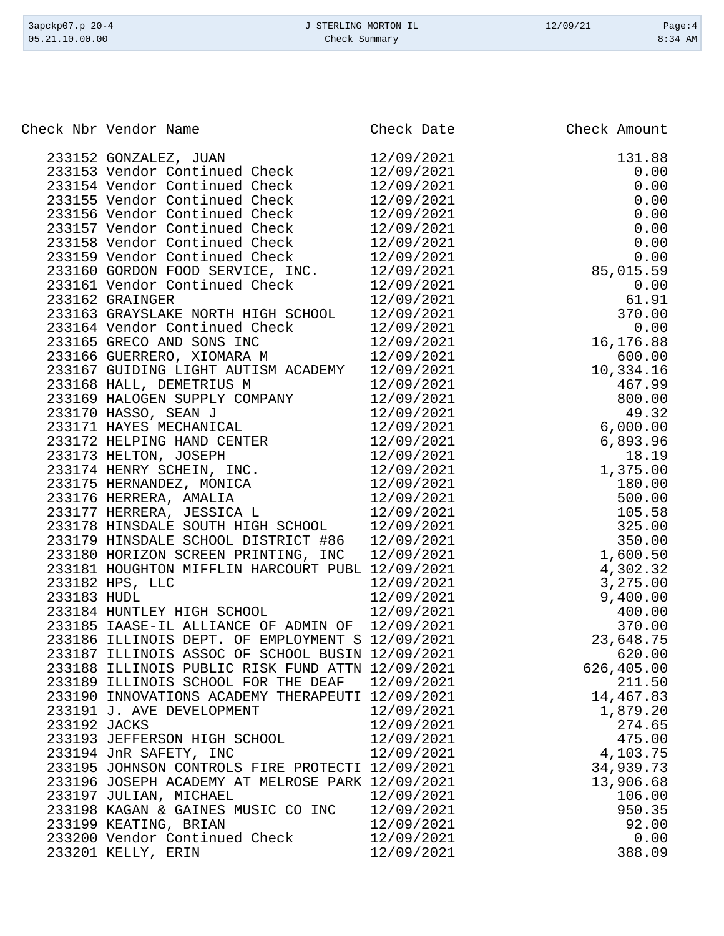| 3apckp07.p 20-4 | J STERLING MORTON IL | 12/09/21 | Page:4    |
|-----------------|----------------------|----------|-----------|
| 05.21.10.00.00  | Check Summary        |          | $8:34$ AM |
|                 |                      |          |           |

Check Nbr Vendor Name **Check Date** Check Date Check Amount

|              | 233152 GONZALEZ, JUAN                                                                                                                                                      | 12/09/2021 | 131.88     |
|--------------|----------------------------------------------------------------------------------------------------------------------------------------------------------------------------|------------|------------|
|              | 233153 Vendor Continued Check                                                                                                                                              | 12/09/2021 | 0.00       |
|              | 233154 Vendor Continued Check                                                                                                                                              | 12/09/2021 | 0.00       |
|              | 233155 Vendor Continued Check                                                                                                                                              | 12/09/2021 | 0.00       |
|              | 233156 Vendor Continued Check                                                                                                                                              | 12/09/2021 | 0.00       |
|              | 233157 Vendor Continued Check                                                                                                                                              | 12/09/2021 | 0.00       |
|              | 233158 Vendor Continued Check                                                                                                                                              | 12/09/2021 | 0.00       |
|              | 233159 Vendor Continued Check                                                                                                                                              | 12/09/2021 | 0.00       |
|              | 233160 GORDON FOOD SERVICE, INC.                                                                                                                                           | 12/09/2021 | 85,015.59  |
|              | 233161 Vendor Continued Check                                                                                                                                              | 12/09/2021 | 0.00       |
|              | 233162 GRAINGER                                                                                                                                                            | 12/09/2021 | 61.91      |
|              | 233163 GRAYSLAKE NORTH HIGH SCHOOL 12/09/2021<br>233164 Vendor Continued Check 12/09/2021<br>233165 GRECO AND SONS INC 12/09/2021<br>233166 GUERRERO, XIOMARA M 12/09/2021 |            | 370.00     |
|              |                                                                                                                                                                            |            | 0.00       |
|              |                                                                                                                                                                            |            | 16, 176.88 |
|              | 233165 GRECO AND SONS INC<br>233166 GUERRERO, XIOMARA M                                                                                                                    |            | 600.00     |
|              |                                                                                                                                                                            |            | 10,334.16  |
|              |                                                                                                                                                                            |            | 467.99     |
|              |                                                                                                                                                                            |            | 800.00     |
|              |                                                                                                                                                                            |            | 49.32      |
|              |                                                                                                                                                                            |            | 6,000.00   |
|              |                                                                                                                                                                            |            | 6,893.96   |
|              |                                                                                                                                                                            |            | 18.19      |
|              |                                                                                                                                                                            |            | 1,375.00   |
|              |                                                                                                                                                                            |            | 180.00     |
|              |                                                                                                                                                                            |            | 500.00     |
|              | 233177 HERRERA, JESSICA L                                                                                                                                                  |            | 105.58     |
|              |                                                                                                                                                                            |            | 325.00     |
|              | 233178 HINSDALE SOUTH HIGH SCHOOL 12/09/2021<br>233179 HINSDALE SCHOOL DISTRICT #86 12/09/2021<br>233180 HORIZON SCREEN PRINTING, INC 12/09/2021                           |            |            |
|              |                                                                                                                                                                            |            | 350.00     |
|              |                                                                                                                                                                            |            | 1,600.50   |
|              | 233181 HOUGHTON MIFFLIN HARCOURT PUBL 12/09/2021                                                                                                                           |            | 4,302.32   |
|              | 233182 HPS, LLC                                                                                                                                                            | 12/09/2021 | 3,275.00   |
| 233183 HUDL  |                                                                                                                                                                            | 12/09/2021 | 9,400.00   |
|              | 233184 HUNTLEY HIGH SCHOOL                                                                                                                                                 | 12/09/2021 | 400.00     |
|              | 233185 IAASE-IL ALLIANCE OF ADMIN OF 12/09/2021                                                                                                                            |            | 370.00     |
|              | 233186 ILLINOIS DEPT. OF EMPLOYMENT S 12/09/2021                                                                                                                           |            | 23,648.75  |
|              | 233187 ILLINOIS ASSOC OF SCHOOL BUSIN 12/09/2021                                                                                                                           |            | 620.00     |
|              | 233188 ILLINOIS PUBLIC RISK FUND ATTN 12/09/2021                                                                                                                           |            | 626,405.00 |
|              | 233189 ILLINOIS SCHOOL FOR THE DEAF 12/09/2021                                                                                                                             |            | 211.50     |
|              | 233190 INNOVATIONS ACADEMY THERAPEUTI 12/09/2021                                                                                                                           |            | 14,467.83  |
|              | 233191 J. AVE DEVELOPMENT                                                                                                                                                  | 12/09/2021 | 1,879.20   |
| 233192 JACKS |                                                                                                                                                                            | 12/09/2021 | 274.65     |
|              | 233193 JEFFERSON HIGH SCHOOL                                                                                                                                               | 12/09/2021 | 475.00     |
|              | 233194 JnR SAFETY, INC                                                                                                                                                     | 12/09/2021 | 4,103.75   |
|              | 233195 JOHNSON CONTROLS FIRE PROTECTI 12/09/2021                                                                                                                           |            | 34,939.73  |
|              | 233196 JOSEPH ACADEMY AT MELROSE PARK 12/09/2021                                                                                                                           |            | 13,906.68  |
|              | 233197 JULIAN, MICHAEL                                                                                                                                                     | 12/09/2021 | 106.00     |
|              | 233198 KAGAN & GAINES MUSIC CO INC                                                                                                                                         | 12/09/2021 | 950.35     |
|              | 233199 KEATING, BRIAN                                                                                                                                                      | 12/09/2021 | 92.00      |
|              | 233200 Vendor Continued Check                                                                                                                                              | 12/09/2021 | 0.00       |
|              | 233201 KELLY, ERIN                                                                                                                                                         | 12/09/2021 | 388.09     |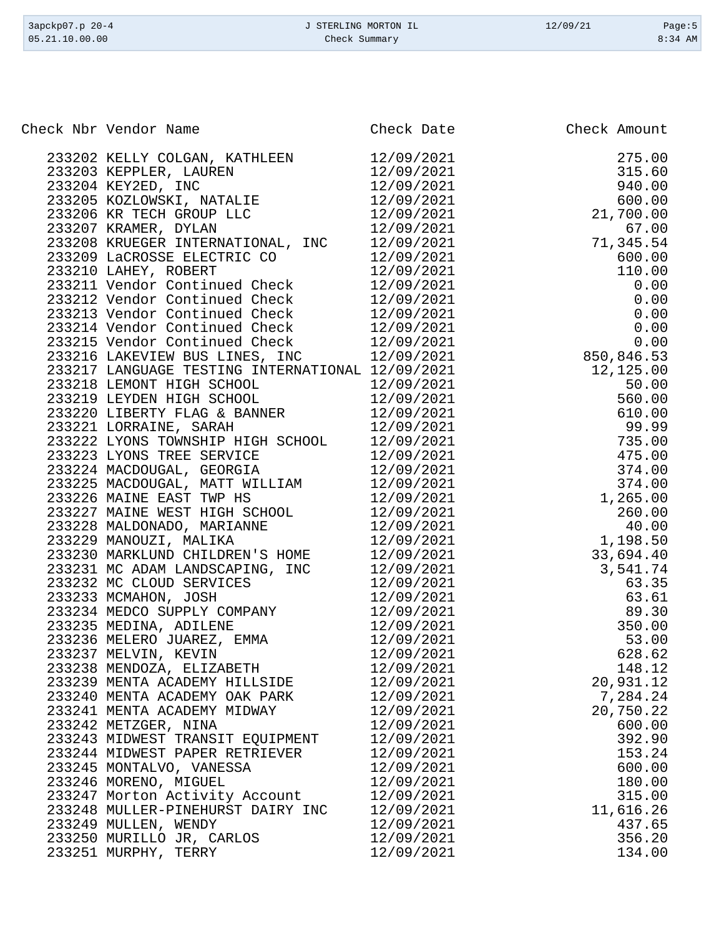| 3apckp07.p 20-4 | J STERLING MORTON IL | 12/09/21 | Page: $5$ |
|-----------------|----------------------|----------|-----------|
| 05.21.10.00.00  | Check Summary        |          | $8:34$ AM |
|                 |                      |          |           |

Check Nbr Vendor Name **Check Date** Check Date Check Amount

| 233202 KELLY COLGAN, KATHLEEN                                                         | 12/09/2021                                                                                                                                                                                                                                                                                                                                                                                                                          | 275.00    |
|---------------------------------------------------------------------------------------|-------------------------------------------------------------------------------------------------------------------------------------------------------------------------------------------------------------------------------------------------------------------------------------------------------------------------------------------------------------------------------------------------------------------------------------|-----------|
| 233203 KEPPLER, LAUREN<br>233204 KEY2ED, INC<br>233205 KORIOUST                       | 12/09/2021                                                                                                                                                                                                                                                                                                                                                                                                                          | 315.60    |
|                                                                                       | 12/09/2021                                                                                                                                                                                                                                                                                                                                                                                                                          | 940.00    |
| 233205 KOZLOWSKI, NATALIE                                                             | 12/09/2021                                                                                                                                                                                                                                                                                                                                                                                                                          | 600.00    |
| 233206 KR TECH GROUP LLC<br>233207 KRAMER, DYLAN                                      | 12/09/2021                                                                                                                                                                                                                                                                                                                                                                                                                          | 21,700.00 |
|                                                                                       | 12/09/2021                                                                                                                                                                                                                                                                                                                                                                                                                          | 67.00     |
| 233208 KRUEGER INTERNATIONAL, INC                                                     | 12/09/2021                                                                                                                                                                                                                                                                                                                                                                                                                          | 71,345.54 |
|                                                                                       | 12/09/2021                                                                                                                                                                                                                                                                                                                                                                                                                          | 600.00    |
| 233209 LaCROSSE ELECTRIC CO<br>233210 LAHEY, ROBERT<br>233210 LAHEY, ROBERT           | 12/09/2021                                                                                                                                                                                                                                                                                                                                                                                                                          |           |
| 233211 Vendor Continued Check                                                         | 12/09/2021                                                                                                                                                                                                                                                                                                                                                                                                                          |           |
| 233212 Vendor Continued Check                                                         | 12/09/2021                                                                                                                                                                                                                                                                                                                                                                                                                          |           |
| 233213 Vendor Continued Check                                                         | 12/09/2021                                                                                                                                                                                                                                                                                                                                                                                                                          |           |
| 233214 Vendor Continued Check                                                         | 12/09/2021                                                                                                                                                                                                                                                                                                                                                                                                                          |           |
| 233215 Vendor Continued Check 12/09/2021                                              |                                                                                                                                                                                                                                                                                                                                                                                                                                     |           |
| 233216 LAKEVIEW BUS LINES, INC                                                        | 12/09/2021                                                                                                                                                                                                                                                                                                                                                                                                                          |           |
| 233217 LANGUAGE TESTING INTERNATIONAL 12/09/2021                                      |                                                                                                                                                                                                                                                                                                                                                                                                                                     |           |
|                                                                                       | 12/09/2021                                                                                                                                                                                                                                                                                                                                                                                                                          |           |
| 233218 LEMONT HIGH SCHOOL<br>233219 LEYDEN HIGH SCHOOL                                | 12/09/2021                                                                                                                                                                                                                                                                                                                                                                                                                          |           |
|                                                                                       | 12/09/2021                                                                                                                                                                                                                                                                                                                                                                                                                          |           |
| 233220 LIBERTY FLAG & BANNER<br>233221 LORRAINE, SARAH                                | 12/09/2021                                                                                                                                                                                                                                                                                                                                                                                                                          |           |
| 233222 LYONS TOWNSHIP HIGH SCHOOL                                                     | 12/09/2021                                                                                                                                                                                                                                                                                                                                                                                                                          |           |
|                                                                                       | 12/09/2021                                                                                                                                                                                                                                                                                                                                                                                                                          |           |
| 233223 LYONS TREE SERVICE<br>233224 MACDOUGAL, GEORGIA                                | 12/09/2021                                                                                                                                                                                                                                                                                                                                                                                                                          |           |
|                                                                                       | 12/09/2021                                                                                                                                                                                                                                                                                                                                                                                                                          |           |
| 233225 MACDOUGAL, MATT WILLIAM<br>233226 MAINE EAST TWP HS                            | 12/09/2021                                                                                                                                                                                                                                                                                                                                                                                                                          |           |
|                                                                                       | $\begin{array}{r} 71\,, 345.54\phantom{00} \phantom{00} \phantom{00} \phantom{00} \phantom{00} \phantom{00} \phantom{00} \phantom{00} \phantom{00} \phantom{00} \phantom{00} \phantom{00} \phantom{00} \phantom{00} \phantom{00} \phantom{00} \phantom{00} \phantom{00} \phantom{00} \phantom{00} \phantom{00} \phantom{00} \phantom{00} \phantom{00} \phantom{00} \phantom{00} \phantom{00} \phantom{00} \phantom{0$<br>12/09/2021 |           |
| 233227 MAINE WEST HIGH SCHOOL<br>233228 MALDONADO, MARIANNE<br>233229 MANOUZI, MALIKA | 12/09/2021                                                                                                                                                                                                                                                                                                                                                                                                                          |           |
| 233229 MANOUZI, MALIKA                                                                | 12/09/2021                                                                                                                                                                                                                                                                                                                                                                                                                          |           |
| 233230 MARKLUND CHILDREN'S HOME                                                       | 12/09/2021                                                                                                                                                                                                                                                                                                                                                                                                                          |           |
| 233231 MC ADAM LANDSCAPING, INC                                                       | 12/09/2021                                                                                                                                                                                                                                                                                                                                                                                                                          |           |
| 233232 MC CLOUD SERVICES                                                              | 12/09/2021                                                                                                                                                                                                                                                                                                                                                                                                                          |           |
| 233233 MCMAHON, JOSH                                                                  | 12/09/2021                                                                                                                                                                                                                                                                                                                                                                                                                          |           |
|                                                                                       | 12/09/2021                                                                                                                                                                                                                                                                                                                                                                                                                          |           |
| 233234 MEDCO SUPPLY COMPANY<br>233235 MEDINA, ADILENE                                 | 12/09/2021                                                                                                                                                                                                                                                                                                                                                                                                                          |           |
|                                                                                       | 12/09/2021                                                                                                                                                                                                                                                                                                                                                                                                                          |           |
| 233236 MELERO JUAREZ, EMMA<br>233237 MELVIN, KEVIN<br>222228 MENDOZA, ELIZAPETH       | 12/09/2021                                                                                                                                                                                                                                                                                                                                                                                                                          |           |
| 233238 MENDOZA, ELIZABETH                                                             | 12/09/2021                                                                                                                                                                                                                                                                                                                                                                                                                          | 148.12    |
| 233239 MENTA ACADEMY HILLSIDE                                                         | 12/09/2021                                                                                                                                                                                                                                                                                                                                                                                                                          | 20,931.12 |
| 233240 MENTA ACADEMY OAK PARK                                                         | 12/09/2021                                                                                                                                                                                                                                                                                                                                                                                                                          | 7,284.24  |
| 233241 MENTA ACADEMY MIDWAY                                                           | 12/09/2021                                                                                                                                                                                                                                                                                                                                                                                                                          | 20,750.22 |
| 233242 METZGER, NINA                                                                  | 12/09/2021                                                                                                                                                                                                                                                                                                                                                                                                                          | 600.00    |
| 233243 MIDWEST TRANSIT EQUIPMENT                                                      | 12/09/2021                                                                                                                                                                                                                                                                                                                                                                                                                          | 392.90    |
| 233244 MIDWEST PAPER RETRIEVER                                                        | 12/09/2021                                                                                                                                                                                                                                                                                                                                                                                                                          | 153.24    |
| 233245 MONTALVO, VANESSA                                                              | 12/09/2021                                                                                                                                                                                                                                                                                                                                                                                                                          | 600.00    |
| 233246 MORENO, MIGUEL                                                                 | 12/09/2021                                                                                                                                                                                                                                                                                                                                                                                                                          | 180.00    |
| 233247 Morton Activity Account                                                        | 12/09/2021                                                                                                                                                                                                                                                                                                                                                                                                                          | 315.00    |
| 233248 MULLER-PINEHURST DAIRY INC                                                     | 12/09/2021                                                                                                                                                                                                                                                                                                                                                                                                                          | 11,616.26 |
|                                                                                       | 12/09/2021                                                                                                                                                                                                                                                                                                                                                                                                                          | 437.65    |
| 233249 MULLEN, WENDY                                                                  | 12/09/2021                                                                                                                                                                                                                                                                                                                                                                                                                          | 356.20    |
| 233250 MURILLO JR, CARLOS                                                             |                                                                                                                                                                                                                                                                                                                                                                                                                                     |           |
| 233251 MURPHY, TERRY                                                                  | 12/09/2021                                                                                                                                                                                                                                                                                                                                                                                                                          | 134.00    |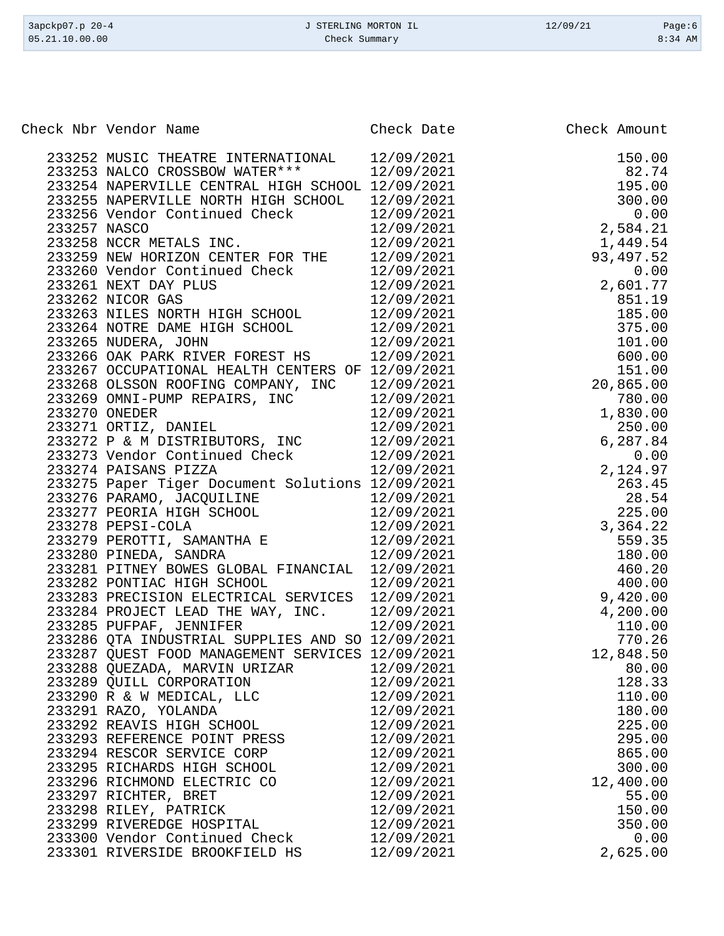| 3apckp07.p 20-4<br>05.21.10.00.00 |                                                                 | J STERLING MORTON IL<br>Check Summary | 12/09/21 | Page: $6$<br>8:34 AM |
|-----------------------------------|-----------------------------------------------------------------|---------------------------------------|----------|----------------------|
|                                   |                                                                 |                                       |          |                      |
|                                   | Check Nbr Vendor Name                                           | Check Date                            |          | Check Amount         |
|                                   | 233252 MUSIC THEATRE INTERNATIONAL                              | 12/09/2021                            |          | 150.00               |
|                                   | 233253 NALCO CROSSBOW WATER ***                                 | 12/09/2021                            |          | 82.74                |
|                                   | 233254 NAPERVILLE CENTRAL HIGH SCHOOL 12/09/2021                |                                       |          | 195.00               |
|                                   | 233255 NAPERVILLE NORTH HIGH SCHOOL                             | 12/09/2021                            |          | 300.00               |
|                                   | 233256 Vendor Continued Check                                   | 12/09/2021                            |          | 0.00                 |
| 233257 NASCO                      |                                                                 | 12/09/2021                            |          | 2,584.21             |
|                                   | 233258 NCCR METALS INC.                                         | 12/09/2021                            |          | 1,449.54             |
|                                   | 233259 NEW HORIZON CENTER FOR THE                               | 12/09/2021                            |          | 93, 497.52           |
|                                   | 233260 Vendor Continued Check                                   | 12/09/2021                            |          | 0.00                 |
|                                   | 233261 NEXT DAY PLUS                                            | 12/09/2021                            |          | 2,601.77             |
|                                   | 233262 NICOR GAS                                                | 12/09/2021                            |          | 851.19               |
|                                   | 233263 NILES NORTH HIGH SCHOOL<br>233264 NOTRE DAME HIGH SCHOOL | 12/09/2021<br>12/09/2021              |          | 185.00<br>375.00     |
|                                   | 233265 NUDERA, JOHN                                             | 12/09/2021                            |          | 101.00               |
|                                   | 233266 OAK PARK RIVER FOREST HS                                 | 12/09/2021                            |          | 600.00               |
|                                   | 233267 OCCUPATIONAL HEALTH CENTERS OF 12/09/2021                |                                       |          | 151.00               |
|                                   | 233268 OLSSON ROOFING COMPANY, INC                              | 12/09/2021                            |          | 20,865.00            |
|                                   | 233269 OMNI-PUMP REPAIRS, INC                                   | 12/09/2021                            |          | 780.00               |
|                                   | 233270 ONEDER                                                   | 12/09/2021                            |          | 1,830.00             |
|                                   | 233271 ORTIZ, DANIEL                                            | 12/09/2021                            |          | 250.00               |
|                                   | 233272 P & M DISTRIBUTORS, INC                                  | 12/09/2021                            |          | 6,287.84             |
|                                   | 233273 Vendor Continued Check                                   | 12/09/2021                            |          | 0.00                 |
|                                   | 233274 PAISANS PIZZA                                            | 12/09/2021                            |          | 2,124.97             |
|                                   | 233275 Paper Tiger Document Solutions 12/09/2021                |                                       |          | 263.45               |
|                                   | 233276 PARAMO, JACQUILINE                                       | 12/09/2021                            |          | 28.54                |
|                                   | 233277 PEORIA HIGH SCHOOL                                       | 12/09/2021                            |          | 225.00               |
|                                   | 233278 PEPSI-COLA<br>233279 PEROTTI, SAMANTHA E                 | 12/09/2021<br>12/09/2021              |          | 3,364.22<br>559.35   |
|                                   | 233280 PINEDA, SANDRA                                           | 12/09/2021                            |          | 180.00               |
|                                   | 233281 PITNEY BOWES GLOBAL FINANCIAL 12/09/2021                 |                                       |          | 460.20               |
|                                   | 233282 PONTIAC HIGH SCHOOL                                      | 12/09/2021                            |          | 400.00               |
|                                   | 233283 PRECISION ELECTRICAL SERVICES 12/09/2021                 |                                       |          | 9,420.00             |
|                                   | 233284 PROJECT LEAD THE WAY, INC. 12/09/2021                    |                                       |          | 4,200.00             |
|                                   | 233285 PUFPAF, JENNIFER                                         | 12/09/2021                            |          | 110.00               |
|                                   | 233286 QTA INDUSTRIAL SUPPLIES AND SO 12/09/2021                |                                       |          | 770.26               |
|                                   | 233287 QUEST FOOD MANAGEMENT SERVICES 12/09/2021                |                                       |          | 12,848.50            |
|                                   | 233288 QUEZADA, MARVIN URIZAR 12/09/2021                        |                                       |          | 80.00                |
|                                   | 233289 QUILL CORPORATION                                        | 12/09/2021                            |          | 128.33               |
|                                   | 233290 R & W MEDICAL, LLC<br>233291 RAZO, YOLANDA               | 12/09/2021                            |          | 110.00               |
|                                   | 233292 REAVIS HIGH SCHOOL                                       | 12/09/2021<br>12/09/2021              |          | 180.00<br>225.00     |
|                                   | 233293 REFERENCE POINT PRESS                                    | 12/09/2021                            |          | 295.00               |
|                                   | 233294 RESCOR SERVICE CORP                                      | 12/09/2021                            |          | 865.00               |
|                                   | 233295 RICHARDS HIGH SCHOOL                                     | 12/09/2021                            |          | 300.00               |
|                                   | 233296 RICHMOND ELECTRIC CO                                     | 12/09/2021                            |          | 12,400.00            |
|                                   | 233297 RICHTER, BRET                                            | 12/09/2021                            |          | 55.00                |
|                                   | 233298 RILEY, PATRICK                                           | 12/09/2021                            |          | 150.00               |
|                                   | 233299 RIVEREDGE HOSPITAL                                       | 12/09/2021                            |          | 350.00               |
|                                   | 233300 Vendor Continued Check                                   | 12/09/2021                            |          | 0.00                 |
|                                   | 233301 RIVERSIDE BROOKFIELD HS                                  | 12/09/2021                            |          | 2,625.00             |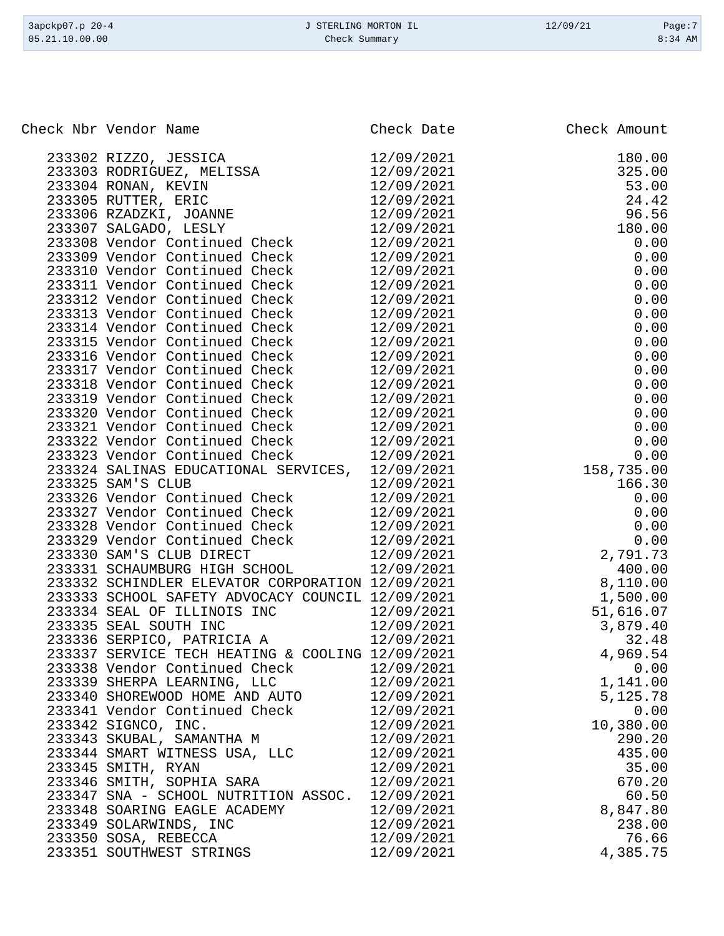| 3apckp07.p 20-4 | J STERLING MORTON IL | 12/09/21 | Page:7    |
|-----------------|----------------------|----------|-----------|
| 05.21.10.00.00  | Check Summary        |          | $8:34$ AM |

| Check Nbr Vendor Name                            | Check Date | Check Amount |
|--------------------------------------------------|------------|--------------|
| 233302 RIZZO, JESSICA                            | 12/09/2021 | 180.00       |
| 233303 RODRIGUEZ, MELISSA                        | 12/09/2021 | 325.00       |
| 233304 RONAN, KEVIN                              | 12/09/2021 | 53.00        |
| 233305 RUTTER, ERIC                              | 12/09/2021 | 24.42        |
| 233306 RZADZKI, JOANNE                           | 12/09/2021 | 96.56        |
| 233307 SALGADO, LESLY                            | 12/09/2021 | 180.00       |
| 233308 Vendor Continued Check                    | 12/09/2021 | 0.00         |
|                                                  |            |              |
| 233309 Vendor Continued Check                    | 12/09/2021 | 0.00         |
| 233310 Vendor Continued Check                    | 12/09/2021 | 0.00         |
| 233311 Vendor Continued Check                    | 12/09/2021 | 0.00         |
| 233312 Vendor Continued Check                    | 12/09/2021 | 0.00         |
| 233313 Vendor Continued Check                    | 12/09/2021 | 0.00         |
| 233314 Vendor Continued Check                    | 12/09/2021 | 0.00         |
| 233315 Vendor Continued Check                    | 12/09/2021 | 0.00         |
| 233316 Vendor Continued Check                    | 12/09/2021 | 0.00         |
| 233317 Vendor Continued Check                    | 12/09/2021 | 0.00         |
| 233318 Vendor Continued Check                    | 12/09/2021 | 0.00         |
| 233319 Vendor Continued Check                    | 12/09/2021 | 0.00         |
| 233320 Vendor Continued Check                    | 12/09/2021 | 0.00         |
| 233321 Vendor Continued Check                    | 12/09/2021 | 0.00         |
| 233322 Vendor Continued Check                    | 12/09/2021 | 0.00         |
| 233323 Vendor Continued Check                    | 12/09/2021 | 0.00         |
| 233324 SALINAS EDUCATIONAL SERVICES,             | 12/09/2021 | 158,735.00   |
| 233325 SAM'S CLUB                                | 12/09/2021 | 166.30       |
| 233326 Vendor Continued Check                    | 12/09/2021 | 0.00         |
| 233327 Vendor Continued Check                    | 12/09/2021 | 0.00         |
| 233328 Vendor Continued Check                    | 12/09/2021 | 0.00         |
| 233329 Vendor Continued Check                    | 12/09/2021 | 0.00         |
| 233330 SAM'S CLUB DIRECT                         | 12/09/2021 | 2,791.73     |
| 233331 SCHAUMBURG HIGH SCHOOL                    | 12/09/2021 | 400.00       |
|                                                  |            |              |
| 233332 SCHINDLER ELEVATOR CORPORATION 12/09/2021 |            | 8,110.00     |
| 233333 SCHOOL SAFETY ADVOCACY COUNCIL 12/09/2021 |            | 1,500.00     |
| 233334 SEAL OF ILLINOIS INC                      | 12/09/2021 | 51,616.07    |
| 233335 SEAL SOUTH INC                            | 12/09/2021 | 3,879.40     |
| 233336 SERPICO, PATRICIA A                       | 12/09/2021 | 32.48        |
| 233337 SERVICE TECH HEATING & COOLING 12/09/2021 |            | 4,969.54     |
| 233338 Vendor Continued Check                    | 12/09/2021 | 0.00         |
| 233339 SHERPA LEARNING, LLC                      | 12/09/2021 | 1,141.00     |
| 233340 SHOREWOOD HOME AND AUTO                   | 12/09/2021 | 5,125.78     |
| 233341 Vendor Continued Check                    | 12/09/2021 | 0.00         |
| 233342 SIGNCO, INC.                              | 12/09/2021 | 10,380.00    |
| 233343 SKUBAL, SAMANTHA M                        | 12/09/2021 | 290.20       |
| 233344 SMART WITNESS USA, LLC                    | 12/09/2021 | 435.00       |
| 233345 SMITH, RYAN                               | 12/09/2021 | 35.00        |
| 233346 SMITH, SOPHIA SARA                        | 12/09/2021 | 670.20       |
| 233347 SNA - SCHOOL NUTRITION ASSOC.             | 12/09/2021 | 60.50        |
| 233348 SOARING EAGLE ACADEMY                     | 12/09/2021 | 8,847.80     |
| 233349 SOLARWINDS, INC                           | 12/09/2021 | 238.00       |
| 233350 SOSA, REBECCA                             | 12/09/2021 | 76.66        |
| 233351 SOUTHWEST STRINGS                         | 12/09/2021 | 4,385.75     |
|                                                  |            |              |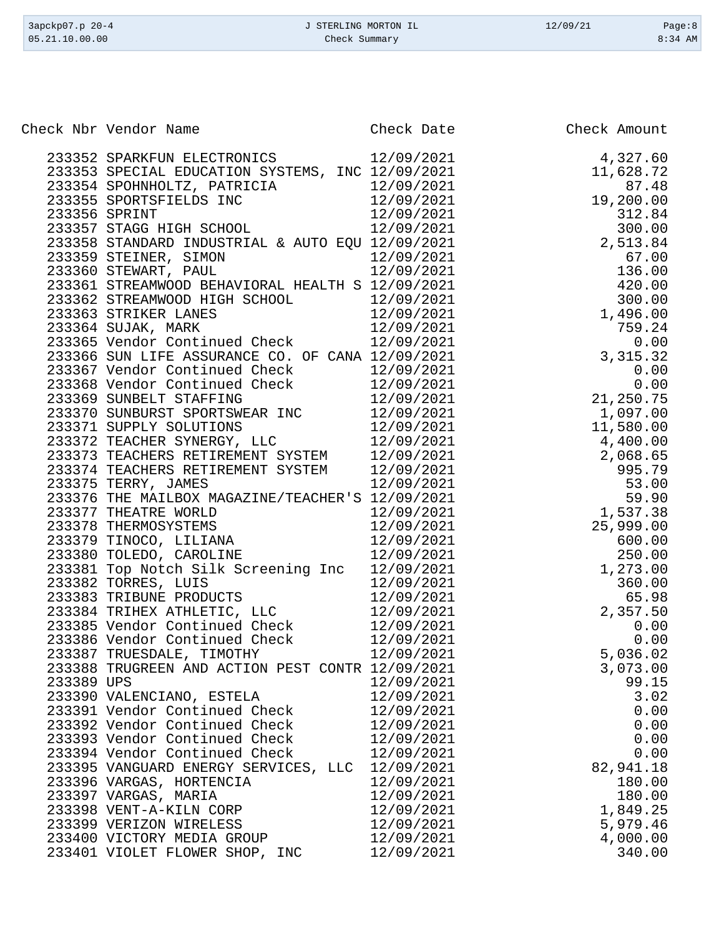| Check Nbr Vendor Name<br>Check Date<br>Check Amount<br>12/09/2021<br>4,327.60<br>233352 SPARKFUN ELECTRONICS<br>233353 SPECIAL EDUCATION SYSTEMS, INC 12/09/2021<br>11,628.72<br>87.48<br>233354 SPOHNHOLTZ, PATRICIA<br>233355 SPORTSFIELDS INC<br>12/09/2021<br>12/09/2021<br>19,200.00<br>12/09/2021<br>233356 SPRINT<br>312.84<br>12/09/2021<br>300.00<br>233357 STAGG HIGH SCHOOL<br>233358 STANDARD INDUSTRIAL & AUTO EQU 12/09/2021<br>2,513.84<br>233359 STEINER, SIMON<br>12/09/2021<br>67.00<br>12/09/2021<br>233360 STEWART, PAUL<br>136.00<br>233361 STREAMWOOD BEHAVIORAL HEALTH S 12/09/2021<br>420.00<br>300.00<br>233362 STREAMWOOD HIGH SCHOOL<br>12/09/2021<br>12/09/2021<br>233363 STRIKER LANES<br>1,496.00<br>12/09/2021<br>233364 SUJAK, MARK<br>759.24<br>233365 Vendor Continued Check<br>12/09/2021<br>0.00<br>233366 SUN LIFE ASSURANCE CO. OF CANA 12/09/2021<br>3,315.32<br>233367 Vendor Continued Check<br>12/09/2021<br>0.00<br>12/09/2021<br>233368 Vendor Continued Check<br>0.00<br>12/09/2021<br>233369 SUNBELT STAFFING<br>21,250.75<br>12/09/2021<br>1,097.00<br>233370 SUNBURST SPORTSWEAR INC<br>12/09/2021<br>233371 SUPPLY SOLUTIONS<br>11,580.00<br>12/09/2021<br>233372 TEACHER SYNERGY, LLC<br>4,400.00<br>233373 TEACHERS RETIREMENT SYSTEM<br>12/09/2021<br>2,068.65<br>233374 TEACHERS RETIREMENT SYSTEM<br>12/09/2021<br>995.79<br>12/09/2021<br>233375 TERRY, JAMES<br>53.00<br>59.90<br>233376 THE MAILBOX MAGAZINE/TEACHER'S 12/09/2021<br>233377 THEATRE WORLD<br>12/09/2021<br>1,537.38<br>25,999.00<br>233378 THERMOSYSTEMS<br>12/09/2021<br>233379 TINOCO, LILIANA<br>12/09/2021<br>600.00<br>233380 TOLEDO, CAROLINE<br>12/09/2021<br>250.00<br>233381 Top Notch Silk Screening Inc 12/09/2021<br>1,273.00<br>12/09/2021<br>233382 TORRES, LUIS<br>360.00<br>233383 TRIBUNE PRODUCTS<br>12/09/2021<br>65.98<br>233384 TRIHEX ATHLETIC, LLC<br>12/09/2021<br>2,357.50<br>233385 Vendor Continued Check<br>12/09/2021<br>0.00<br>0.00<br>233386 Vendor Continued Check<br>12/09/2021<br>12/09/2021<br>233387 TRUESDALE, TIMOTHY<br>5,036.02<br>3,073.00<br>233388 TRUGREEN AND ACTION PEST CONTR 12/09/2021<br>233389 UPS<br>12/09/2021<br>99.15<br>233390 VALENCIANO, ESTELA<br>12/09/2021<br>3.02<br>233391 Vendor Continued Check<br>12/09/2021<br>0.00<br>233392 Vendor Continued Check<br>12/09/2021<br>0.00<br>233393 Vendor Continued Check<br>12/09/2021<br>0.00<br>233394 Vendor Continued Check<br>12/09/2021<br>0.00<br>82,941.18<br>233395 VANGUARD ENERGY SERVICES, LLC 12/09/2021<br>12/09/2021<br>180.00<br>233396 VARGAS, HORTENCIA<br>233397 VARGAS, MARIA<br>12/09/2021<br>180.00<br>233398 VENT-A-KILN CORP<br>12/09/2021<br>1,849.25<br>5,979.46<br>233399 VERIZON WIRELESS<br>12/09/2021<br>4,000.00<br>233400 VICTORY MEDIA GROUP<br>12/09/2021 | 3apckp07.p 20-4<br>05.21.10.00.00 | J STERLING MORTON IL<br>Check Summary | 12/09/21 | Page:8<br>$8:34$ AM |
|-----------------------------------------------------------------------------------------------------------------------------------------------------------------------------------------------------------------------------------------------------------------------------------------------------------------------------------------------------------------------------------------------------------------------------------------------------------------------------------------------------------------------------------------------------------------------------------------------------------------------------------------------------------------------------------------------------------------------------------------------------------------------------------------------------------------------------------------------------------------------------------------------------------------------------------------------------------------------------------------------------------------------------------------------------------------------------------------------------------------------------------------------------------------------------------------------------------------------------------------------------------------------------------------------------------------------------------------------------------------------------------------------------------------------------------------------------------------------------------------------------------------------------------------------------------------------------------------------------------------------------------------------------------------------------------------------------------------------------------------------------------------------------------------------------------------------------------------------------------------------------------------------------------------------------------------------------------------------------------------------------------------------------------------------------------------------------------------------------------------------------------------------------------------------------------------------------------------------------------------------------------------------------------------------------------------------------------------------------------------------------------------------------------------------------------------------------------------------------------------------------------------------------------------------------------------------------------------------------------------------------------------------------------------------------------------------------------------------------------------------------------------------------------------------------------------------------|-----------------------------------|---------------------------------------|----------|---------------------|
|                                                                                                                                                                                                                                                                                                                                                                                                                                                                                                                                                                                                                                                                                                                                                                                                                                                                                                                                                                                                                                                                                                                                                                                                                                                                                                                                                                                                                                                                                                                                                                                                                                                                                                                                                                                                                                                                                                                                                                                                                                                                                                                                                                                                                                                                                                                                                                                                                                                                                                                                                                                                                                                                                                                                                                                                                             |                                   |                                       |          |                     |
|                                                                                                                                                                                                                                                                                                                                                                                                                                                                                                                                                                                                                                                                                                                                                                                                                                                                                                                                                                                                                                                                                                                                                                                                                                                                                                                                                                                                                                                                                                                                                                                                                                                                                                                                                                                                                                                                                                                                                                                                                                                                                                                                                                                                                                                                                                                                                                                                                                                                                                                                                                                                                                                                                                                                                                                                                             |                                   |                                       |          |                     |
|                                                                                                                                                                                                                                                                                                                                                                                                                                                                                                                                                                                                                                                                                                                                                                                                                                                                                                                                                                                                                                                                                                                                                                                                                                                                                                                                                                                                                                                                                                                                                                                                                                                                                                                                                                                                                                                                                                                                                                                                                                                                                                                                                                                                                                                                                                                                                                                                                                                                                                                                                                                                                                                                                                                                                                                                                             |                                   |                                       |          |                     |
|                                                                                                                                                                                                                                                                                                                                                                                                                                                                                                                                                                                                                                                                                                                                                                                                                                                                                                                                                                                                                                                                                                                                                                                                                                                                                                                                                                                                                                                                                                                                                                                                                                                                                                                                                                                                                                                                                                                                                                                                                                                                                                                                                                                                                                                                                                                                                                                                                                                                                                                                                                                                                                                                                                                                                                                                                             |                                   |                                       |          |                     |
|                                                                                                                                                                                                                                                                                                                                                                                                                                                                                                                                                                                                                                                                                                                                                                                                                                                                                                                                                                                                                                                                                                                                                                                                                                                                                                                                                                                                                                                                                                                                                                                                                                                                                                                                                                                                                                                                                                                                                                                                                                                                                                                                                                                                                                                                                                                                                                                                                                                                                                                                                                                                                                                                                                                                                                                                                             |                                   |                                       |          |                     |
|                                                                                                                                                                                                                                                                                                                                                                                                                                                                                                                                                                                                                                                                                                                                                                                                                                                                                                                                                                                                                                                                                                                                                                                                                                                                                                                                                                                                                                                                                                                                                                                                                                                                                                                                                                                                                                                                                                                                                                                                                                                                                                                                                                                                                                                                                                                                                                                                                                                                                                                                                                                                                                                                                                                                                                                                                             |                                   |                                       |          |                     |
|                                                                                                                                                                                                                                                                                                                                                                                                                                                                                                                                                                                                                                                                                                                                                                                                                                                                                                                                                                                                                                                                                                                                                                                                                                                                                                                                                                                                                                                                                                                                                                                                                                                                                                                                                                                                                                                                                                                                                                                                                                                                                                                                                                                                                                                                                                                                                                                                                                                                                                                                                                                                                                                                                                                                                                                                                             |                                   |                                       |          |                     |
|                                                                                                                                                                                                                                                                                                                                                                                                                                                                                                                                                                                                                                                                                                                                                                                                                                                                                                                                                                                                                                                                                                                                                                                                                                                                                                                                                                                                                                                                                                                                                                                                                                                                                                                                                                                                                                                                                                                                                                                                                                                                                                                                                                                                                                                                                                                                                                                                                                                                                                                                                                                                                                                                                                                                                                                                                             |                                   |                                       |          |                     |
|                                                                                                                                                                                                                                                                                                                                                                                                                                                                                                                                                                                                                                                                                                                                                                                                                                                                                                                                                                                                                                                                                                                                                                                                                                                                                                                                                                                                                                                                                                                                                                                                                                                                                                                                                                                                                                                                                                                                                                                                                                                                                                                                                                                                                                                                                                                                                                                                                                                                                                                                                                                                                                                                                                                                                                                                                             |                                   |                                       |          |                     |
|                                                                                                                                                                                                                                                                                                                                                                                                                                                                                                                                                                                                                                                                                                                                                                                                                                                                                                                                                                                                                                                                                                                                                                                                                                                                                                                                                                                                                                                                                                                                                                                                                                                                                                                                                                                                                                                                                                                                                                                                                                                                                                                                                                                                                                                                                                                                                                                                                                                                                                                                                                                                                                                                                                                                                                                                                             |                                   |                                       |          |                     |
|                                                                                                                                                                                                                                                                                                                                                                                                                                                                                                                                                                                                                                                                                                                                                                                                                                                                                                                                                                                                                                                                                                                                                                                                                                                                                                                                                                                                                                                                                                                                                                                                                                                                                                                                                                                                                                                                                                                                                                                                                                                                                                                                                                                                                                                                                                                                                                                                                                                                                                                                                                                                                                                                                                                                                                                                                             |                                   |                                       |          |                     |
|                                                                                                                                                                                                                                                                                                                                                                                                                                                                                                                                                                                                                                                                                                                                                                                                                                                                                                                                                                                                                                                                                                                                                                                                                                                                                                                                                                                                                                                                                                                                                                                                                                                                                                                                                                                                                                                                                                                                                                                                                                                                                                                                                                                                                                                                                                                                                                                                                                                                                                                                                                                                                                                                                                                                                                                                                             |                                   |                                       |          |                     |
|                                                                                                                                                                                                                                                                                                                                                                                                                                                                                                                                                                                                                                                                                                                                                                                                                                                                                                                                                                                                                                                                                                                                                                                                                                                                                                                                                                                                                                                                                                                                                                                                                                                                                                                                                                                                                                                                                                                                                                                                                                                                                                                                                                                                                                                                                                                                                                                                                                                                                                                                                                                                                                                                                                                                                                                                                             |                                   |                                       |          |                     |
|                                                                                                                                                                                                                                                                                                                                                                                                                                                                                                                                                                                                                                                                                                                                                                                                                                                                                                                                                                                                                                                                                                                                                                                                                                                                                                                                                                                                                                                                                                                                                                                                                                                                                                                                                                                                                                                                                                                                                                                                                                                                                                                                                                                                                                                                                                                                                                                                                                                                                                                                                                                                                                                                                                                                                                                                                             |                                   |                                       |          |                     |
|                                                                                                                                                                                                                                                                                                                                                                                                                                                                                                                                                                                                                                                                                                                                                                                                                                                                                                                                                                                                                                                                                                                                                                                                                                                                                                                                                                                                                                                                                                                                                                                                                                                                                                                                                                                                                                                                                                                                                                                                                                                                                                                                                                                                                                                                                                                                                                                                                                                                                                                                                                                                                                                                                                                                                                                                                             |                                   |                                       |          |                     |
|                                                                                                                                                                                                                                                                                                                                                                                                                                                                                                                                                                                                                                                                                                                                                                                                                                                                                                                                                                                                                                                                                                                                                                                                                                                                                                                                                                                                                                                                                                                                                                                                                                                                                                                                                                                                                                                                                                                                                                                                                                                                                                                                                                                                                                                                                                                                                                                                                                                                                                                                                                                                                                                                                                                                                                                                                             |                                   |                                       |          |                     |
|                                                                                                                                                                                                                                                                                                                                                                                                                                                                                                                                                                                                                                                                                                                                                                                                                                                                                                                                                                                                                                                                                                                                                                                                                                                                                                                                                                                                                                                                                                                                                                                                                                                                                                                                                                                                                                                                                                                                                                                                                                                                                                                                                                                                                                                                                                                                                                                                                                                                                                                                                                                                                                                                                                                                                                                                                             |                                   |                                       |          |                     |
|                                                                                                                                                                                                                                                                                                                                                                                                                                                                                                                                                                                                                                                                                                                                                                                                                                                                                                                                                                                                                                                                                                                                                                                                                                                                                                                                                                                                                                                                                                                                                                                                                                                                                                                                                                                                                                                                                                                                                                                                                                                                                                                                                                                                                                                                                                                                                                                                                                                                                                                                                                                                                                                                                                                                                                                                                             |                                   |                                       |          |                     |
|                                                                                                                                                                                                                                                                                                                                                                                                                                                                                                                                                                                                                                                                                                                                                                                                                                                                                                                                                                                                                                                                                                                                                                                                                                                                                                                                                                                                                                                                                                                                                                                                                                                                                                                                                                                                                                                                                                                                                                                                                                                                                                                                                                                                                                                                                                                                                                                                                                                                                                                                                                                                                                                                                                                                                                                                                             |                                   |                                       |          |                     |
|                                                                                                                                                                                                                                                                                                                                                                                                                                                                                                                                                                                                                                                                                                                                                                                                                                                                                                                                                                                                                                                                                                                                                                                                                                                                                                                                                                                                                                                                                                                                                                                                                                                                                                                                                                                                                                                                                                                                                                                                                                                                                                                                                                                                                                                                                                                                                                                                                                                                                                                                                                                                                                                                                                                                                                                                                             |                                   |                                       |          |                     |
|                                                                                                                                                                                                                                                                                                                                                                                                                                                                                                                                                                                                                                                                                                                                                                                                                                                                                                                                                                                                                                                                                                                                                                                                                                                                                                                                                                                                                                                                                                                                                                                                                                                                                                                                                                                                                                                                                                                                                                                                                                                                                                                                                                                                                                                                                                                                                                                                                                                                                                                                                                                                                                                                                                                                                                                                                             |                                   |                                       |          |                     |
|                                                                                                                                                                                                                                                                                                                                                                                                                                                                                                                                                                                                                                                                                                                                                                                                                                                                                                                                                                                                                                                                                                                                                                                                                                                                                                                                                                                                                                                                                                                                                                                                                                                                                                                                                                                                                                                                                                                                                                                                                                                                                                                                                                                                                                                                                                                                                                                                                                                                                                                                                                                                                                                                                                                                                                                                                             |                                   |                                       |          |                     |
|                                                                                                                                                                                                                                                                                                                                                                                                                                                                                                                                                                                                                                                                                                                                                                                                                                                                                                                                                                                                                                                                                                                                                                                                                                                                                                                                                                                                                                                                                                                                                                                                                                                                                                                                                                                                                                                                                                                                                                                                                                                                                                                                                                                                                                                                                                                                                                                                                                                                                                                                                                                                                                                                                                                                                                                                                             |                                   |                                       |          |                     |
|                                                                                                                                                                                                                                                                                                                                                                                                                                                                                                                                                                                                                                                                                                                                                                                                                                                                                                                                                                                                                                                                                                                                                                                                                                                                                                                                                                                                                                                                                                                                                                                                                                                                                                                                                                                                                                                                                                                                                                                                                                                                                                                                                                                                                                                                                                                                                                                                                                                                                                                                                                                                                                                                                                                                                                                                                             |                                   |                                       |          |                     |
|                                                                                                                                                                                                                                                                                                                                                                                                                                                                                                                                                                                                                                                                                                                                                                                                                                                                                                                                                                                                                                                                                                                                                                                                                                                                                                                                                                                                                                                                                                                                                                                                                                                                                                                                                                                                                                                                                                                                                                                                                                                                                                                                                                                                                                                                                                                                                                                                                                                                                                                                                                                                                                                                                                                                                                                                                             |                                   |                                       |          |                     |
|                                                                                                                                                                                                                                                                                                                                                                                                                                                                                                                                                                                                                                                                                                                                                                                                                                                                                                                                                                                                                                                                                                                                                                                                                                                                                                                                                                                                                                                                                                                                                                                                                                                                                                                                                                                                                                                                                                                                                                                                                                                                                                                                                                                                                                                                                                                                                                                                                                                                                                                                                                                                                                                                                                                                                                                                                             |                                   |                                       |          |                     |
|                                                                                                                                                                                                                                                                                                                                                                                                                                                                                                                                                                                                                                                                                                                                                                                                                                                                                                                                                                                                                                                                                                                                                                                                                                                                                                                                                                                                                                                                                                                                                                                                                                                                                                                                                                                                                                                                                                                                                                                                                                                                                                                                                                                                                                                                                                                                                                                                                                                                                                                                                                                                                                                                                                                                                                                                                             |                                   |                                       |          |                     |
|                                                                                                                                                                                                                                                                                                                                                                                                                                                                                                                                                                                                                                                                                                                                                                                                                                                                                                                                                                                                                                                                                                                                                                                                                                                                                                                                                                                                                                                                                                                                                                                                                                                                                                                                                                                                                                                                                                                                                                                                                                                                                                                                                                                                                                                                                                                                                                                                                                                                                                                                                                                                                                                                                                                                                                                                                             |                                   |                                       |          |                     |
|                                                                                                                                                                                                                                                                                                                                                                                                                                                                                                                                                                                                                                                                                                                                                                                                                                                                                                                                                                                                                                                                                                                                                                                                                                                                                                                                                                                                                                                                                                                                                                                                                                                                                                                                                                                                                                                                                                                                                                                                                                                                                                                                                                                                                                                                                                                                                                                                                                                                                                                                                                                                                                                                                                                                                                                                                             |                                   |                                       |          |                     |
|                                                                                                                                                                                                                                                                                                                                                                                                                                                                                                                                                                                                                                                                                                                                                                                                                                                                                                                                                                                                                                                                                                                                                                                                                                                                                                                                                                                                                                                                                                                                                                                                                                                                                                                                                                                                                                                                                                                                                                                                                                                                                                                                                                                                                                                                                                                                                                                                                                                                                                                                                                                                                                                                                                                                                                                                                             |                                   |                                       |          |                     |
|                                                                                                                                                                                                                                                                                                                                                                                                                                                                                                                                                                                                                                                                                                                                                                                                                                                                                                                                                                                                                                                                                                                                                                                                                                                                                                                                                                                                                                                                                                                                                                                                                                                                                                                                                                                                                                                                                                                                                                                                                                                                                                                                                                                                                                                                                                                                                                                                                                                                                                                                                                                                                                                                                                                                                                                                                             |                                   |                                       |          |                     |
|                                                                                                                                                                                                                                                                                                                                                                                                                                                                                                                                                                                                                                                                                                                                                                                                                                                                                                                                                                                                                                                                                                                                                                                                                                                                                                                                                                                                                                                                                                                                                                                                                                                                                                                                                                                                                                                                                                                                                                                                                                                                                                                                                                                                                                                                                                                                                                                                                                                                                                                                                                                                                                                                                                                                                                                                                             |                                   |                                       |          |                     |
|                                                                                                                                                                                                                                                                                                                                                                                                                                                                                                                                                                                                                                                                                                                                                                                                                                                                                                                                                                                                                                                                                                                                                                                                                                                                                                                                                                                                                                                                                                                                                                                                                                                                                                                                                                                                                                                                                                                                                                                                                                                                                                                                                                                                                                                                                                                                                                                                                                                                                                                                                                                                                                                                                                                                                                                                                             |                                   |                                       |          |                     |
|                                                                                                                                                                                                                                                                                                                                                                                                                                                                                                                                                                                                                                                                                                                                                                                                                                                                                                                                                                                                                                                                                                                                                                                                                                                                                                                                                                                                                                                                                                                                                                                                                                                                                                                                                                                                                                                                                                                                                                                                                                                                                                                                                                                                                                                                                                                                                                                                                                                                                                                                                                                                                                                                                                                                                                                                                             |                                   |                                       |          |                     |
|                                                                                                                                                                                                                                                                                                                                                                                                                                                                                                                                                                                                                                                                                                                                                                                                                                                                                                                                                                                                                                                                                                                                                                                                                                                                                                                                                                                                                                                                                                                                                                                                                                                                                                                                                                                                                                                                                                                                                                                                                                                                                                                                                                                                                                                                                                                                                                                                                                                                                                                                                                                                                                                                                                                                                                                                                             |                                   |                                       |          |                     |
|                                                                                                                                                                                                                                                                                                                                                                                                                                                                                                                                                                                                                                                                                                                                                                                                                                                                                                                                                                                                                                                                                                                                                                                                                                                                                                                                                                                                                                                                                                                                                                                                                                                                                                                                                                                                                                                                                                                                                                                                                                                                                                                                                                                                                                                                                                                                                                                                                                                                                                                                                                                                                                                                                                                                                                                                                             |                                   |                                       |          |                     |
|                                                                                                                                                                                                                                                                                                                                                                                                                                                                                                                                                                                                                                                                                                                                                                                                                                                                                                                                                                                                                                                                                                                                                                                                                                                                                                                                                                                                                                                                                                                                                                                                                                                                                                                                                                                                                                                                                                                                                                                                                                                                                                                                                                                                                                                                                                                                                                                                                                                                                                                                                                                                                                                                                                                                                                                                                             |                                   |                                       |          |                     |
|                                                                                                                                                                                                                                                                                                                                                                                                                                                                                                                                                                                                                                                                                                                                                                                                                                                                                                                                                                                                                                                                                                                                                                                                                                                                                                                                                                                                                                                                                                                                                                                                                                                                                                                                                                                                                                                                                                                                                                                                                                                                                                                                                                                                                                                                                                                                                                                                                                                                                                                                                                                                                                                                                                                                                                                                                             |                                   |                                       |          |                     |
|                                                                                                                                                                                                                                                                                                                                                                                                                                                                                                                                                                                                                                                                                                                                                                                                                                                                                                                                                                                                                                                                                                                                                                                                                                                                                                                                                                                                                                                                                                                                                                                                                                                                                                                                                                                                                                                                                                                                                                                                                                                                                                                                                                                                                                                                                                                                                                                                                                                                                                                                                                                                                                                                                                                                                                                                                             |                                   |                                       |          |                     |
|                                                                                                                                                                                                                                                                                                                                                                                                                                                                                                                                                                                                                                                                                                                                                                                                                                                                                                                                                                                                                                                                                                                                                                                                                                                                                                                                                                                                                                                                                                                                                                                                                                                                                                                                                                                                                                                                                                                                                                                                                                                                                                                                                                                                                                                                                                                                                                                                                                                                                                                                                                                                                                                                                                                                                                                                                             |                                   |                                       |          |                     |
|                                                                                                                                                                                                                                                                                                                                                                                                                                                                                                                                                                                                                                                                                                                                                                                                                                                                                                                                                                                                                                                                                                                                                                                                                                                                                                                                                                                                                                                                                                                                                                                                                                                                                                                                                                                                                                                                                                                                                                                                                                                                                                                                                                                                                                                                                                                                                                                                                                                                                                                                                                                                                                                                                                                                                                                                                             |                                   |                                       |          |                     |
|                                                                                                                                                                                                                                                                                                                                                                                                                                                                                                                                                                                                                                                                                                                                                                                                                                                                                                                                                                                                                                                                                                                                                                                                                                                                                                                                                                                                                                                                                                                                                                                                                                                                                                                                                                                                                                                                                                                                                                                                                                                                                                                                                                                                                                                                                                                                                                                                                                                                                                                                                                                                                                                                                                                                                                                                                             |                                   |                                       |          |                     |
|                                                                                                                                                                                                                                                                                                                                                                                                                                                                                                                                                                                                                                                                                                                                                                                                                                                                                                                                                                                                                                                                                                                                                                                                                                                                                                                                                                                                                                                                                                                                                                                                                                                                                                                                                                                                                                                                                                                                                                                                                                                                                                                                                                                                                                                                                                                                                                                                                                                                                                                                                                                                                                                                                                                                                                                                                             |                                   |                                       |          |                     |
|                                                                                                                                                                                                                                                                                                                                                                                                                                                                                                                                                                                                                                                                                                                                                                                                                                                                                                                                                                                                                                                                                                                                                                                                                                                                                                                                                                                                                                                                                                                                                                                                                                                                                                                                                                                                                                                                                                                                                                                                                                                                                                                                                                                                                                                                                                                                                                                                                                                                                                                                                                                                                                                                                                                                                                                                                             |                                   |                                       |          |                     |
|                                                                                                                                                                                                                                                                                                                                                                                                                                                                                                                                                                                                                                                                                                                                                                                                                                                                                                                                                                                                                                                                                                                                                                                                                                                                                                                                                                                                                                                                                                                                                                                                                                                                                                                                                                                                                                                                                                                                                                                                                                                                                                                                                                                                                                                                                                                                                                                                                                                                                                                                                                                                                                                                                                                                                                                                                             |                                   |                                       |          |                     |
|                                                                                                                                                                                                                                                                                                                                                                                                                                                                                                                                                                                                                                                                                                                                                                                                                                                                                                                                                                                                                                                                                                                                                                                                                                                                                                                                                                                                                                                                                                                                                                                                                                                                                                                                                                                                                                                                                                                                                                                                                                                                                                                                                                                                                                                                                                                                                                                                                                                                                                                                                                                                                                                                                                                                                                                                                             |                                   |                                       |          |                     |
|                                                                                                                                                                                                                                                                                                                                                                                                                                                                                                                                                                                                                                                                                                                                                                                                                                                                                                                                                                                                                                                                                                                                                                                                                                                                                                                                                                                                                                                                                                                                                                                                                                                                                                                                                                                                                                                                                                                                                                                                                                                                                                                                                                                                                                                                                                                                                                                                                                                                                                                                                                                                                                                                                                                                                                                                                             |                                   |                                       |          |                     |
|                                                                                                                                                                                                                                                                                                                                                                                                                                                                                                                                                                                                                                                                                                                                                                                                                                                                                                                                                                                                                                                                                                                                                                                                                                                                                                                                                                                                                                                                                                                                                                                                                                                                                                                                                                                                                                                                                                                                                                                                                                                                                                                                                                                                                                                                                                                                                                                                                                                                                                                                                                                                                                                                                                                                                                                                                             |                                   |                                       |          |                     |
|                                                                                                                                                                                                                                                                                                                                                                                                                                                                                                                                                                                                                                                                                                                                                                                                                                                                                                                                                                                                                                                                                                                                                                                                                                                                                                                                                                                                                                                                                                                                                                                                                                                                                                                                                                                                                                                                                                                                                                                                                                                                                                                                                                                                                                                                                                                                                                                                                                                                                                                                                                                                                                                                                                                                                                                                                             |                                   |                                       |          |                     |
|                                                                                                                                                                                                                                                                                                                                                                                                                                                                                                                                                                                                                                                                                                                                                                                                                                                                                                                                                                                                                                                                                                                                                                                                                                                                                                                                                                                                                                                                                                                                                                                                                                                                                                                                                                                                                                                                                                                                                                                                                                                                                                                                                                                                                                                                                                                                                                                                                                                                                                                                                                                                                                                                                                                                                                                                                             |                                   |                                       |          |                     |
|                                                                                                                                                                                                                                                                                                                                                                                                                                                                                                                                                                                                                                                                                                                                                                                                                                                                                                                                                                                                                                                                                                                                                                                                                                                                                                                                                                                                                                                                                                                                                                                                                                                                                                                                                                                                                                                                                                                                                                                                                                                                                                                                                                                                                                                                                                                                                                                                                                                                                                                                                                                                                                                                                                                                                                                                                             |                                   |                                       |          |                     |
|                                                                                                                                                                                                                                                                                                                                                                                                                                                                                                                                                                                                                                                                                                                                                                                                                                                                                                                                                                                                                                                                                                                                                                                                                                                                                                                                                                                                                                                                                                                                                                                                                                                                                                                                                                                                                                                                                                                                                                                                                                                                                                                                                                                                                                                                                                                                                                                                                                                                                                                                                                                                                                                                                                                                                                                                                             |                                   |                                       |          |                     |
|                                                                                                                                                                                                                                                                                                                                                                                                                                                                                                                                                                                                                                                                                                                                                                                                                                                                                                                                                                                                                                                                                                                                                                                                                                                                                                                                                                                                                                                                                                                                                                                                                                                                                                                                                                                                                                                                                                                                                                                                                                                                                                                                                                                                                                                                                                                                                                                                                                                                                                                                                                                                                                                                                                                                                                                                                             |                                   |                                       |          |                     |
|                                                                                                                                                                                                                                                                                                                                                                                                                                                                                                                                                                                                                                                                                                                                                                                                                                                                                                                                                                                                                                                                                                                                                                                                                                                                                                                                                                                                                                                                                                                                                                                                                                                                                                                                                                                                                                                                                                                                                                                                                                                                                                                                                                                                                                                                                                                                                                                                                                                                                                                                                                                                                                                                                                                                                                                                                             |                                   |                                       |          |                     |
|                                                                                                                                                                                                                                                                                                                                                                                                                                                                                                                                                                                                                                                                                                                                                                                                                                                                                                                                                                                                                                                                                                                                                                                                                                                                                                                                                                                                                                                                                                                                                                                                                                                                                                                                                                                                                                                                                                                                                                                                                                                                                                                                                                                                                                                                                                                                                                                                                                                                                                                                                                                                                                                                                                                                                                                                                             |                                   |                                       |          |                     |

233400 VICTORY MEDIA GROUP  $12/09/2021$  4,000.00<br>233401 VIOLET FLOWER SHOP, INC 12/09/2021 340.00

233401 VIOLET FLOWER SHOP, INC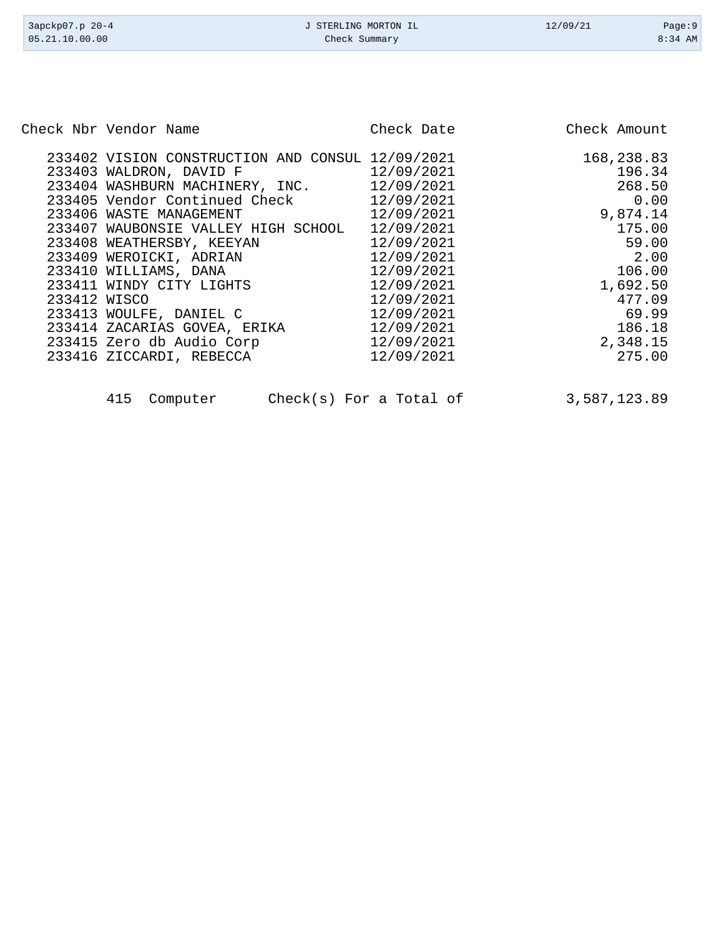| 3apckp07.p 20-4<br>05.21.10.00.00 |                                                  | J STERLING MORTON IL<br>Check Summary | 12/09/21     | Page:9<br>$8:34$ AM |
|-----------------------------------|--------------------------------------------------|---------------------------------------|--------------|---------------------|
|                                   |                                                  |                                       |              |                     |
|                                   |                                                  |                                       |              |                     |
|                                   | Check Nbr Vendor Name                            | Check Date                            | Check Amount |                     |
|                                   | 233402 VISION CONSTRUCTION AND CONSUL 12/09/2021 |                                       | 168,238.83   |                     |
|                                   | 233403 WALDRON, DAVID F                          | 12/09/2021                            | 196.34       |                     |
|                                   | 233404 WASHBURN MACHINERY, INC.                  | 12/09/2021                            | 268.50       |                     |
|                                   | 233405 Vendor Continued Check                    | 12/09/2021                            |              | 0.00                |
| 233406                            | WASTE MANAGEMENT                                 | 12/09/2021                            | 9,874.14     |                     |
| 233407                            | WAUBONSIE VALLEY HIGH SCHOOL                     | 12/09/2021                            | 175.00       |                     |
|                                   | 233408 WEATHERSBY, KEEYAN                        | 12/09/2021                            | 59.00        |                     |
|                                   | 233409 WEROICKI, ADRIAN                          | 12/09/2021                            |              | 2.00                |
|                                   | 233410 WILLIAMS, DANA                            | 12/09/2021                            | 106.00       |                     |
|                                   | 233411 WINDY CITY LIGHTS                         | 12/09/2021                            | 1,692.50     |                     |
| 233412 WISCO                      |                                                  | 12/09/2021                            | 477.09       |                     |
|                                   | 233413 WOULFE, DANIEL C                          | 12/09/2021                            | 69.99        |                     |
|                                   | 233414 ZACARIAS GOVEA, ERIKA                     | 12/09/2021                            | 186.18       |                     |

 233415 Zero db Audio Corp 12/09/2021 2,348.15 233416 ZICCARDI, REBECCA 12/09/2021 275.00

|  | 415 Computer | $Check(s)$ For a Total of | 3,587,123.89 |
|--|--------------|---------------------------|--------------|
|--|--------------|---------------------------|--------------|